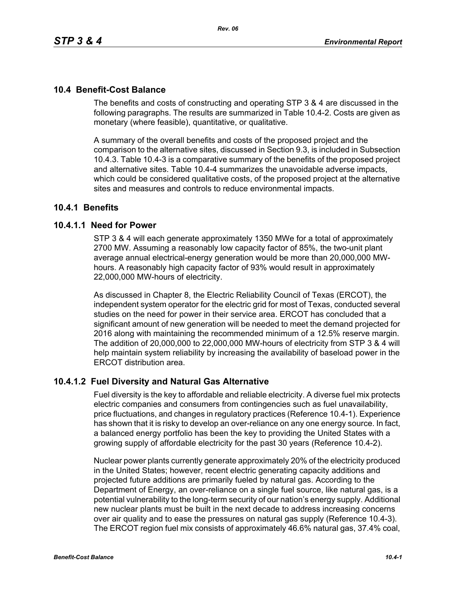The benefits and costs of constructing and operating STP 3 & 4 are discussed in the following paragraphs. The results are summarized in Table 10.4-2. Costs are given as monetary (where feasible), quantitative, or qualitative.

A summary of the overall benefits and costs of the proposed project and the comparison to the alternative sites, discussed in Section 9.3, is included in Subsection 10.4.3. Table 10.4-3 is a comparative summary of the benefits of the proposed project and alternative sites. Table 10.4-4 summarizes the unavoidable adverse impacts, which could be considered qualitative costs, of the proposed project at the alternative sites and measures and controls to reduce environmental impacts.

# **10.4.1 Benefits**

# **10.4.1.1 Need for Power**

STP 3 & 4 will each generate approximately 1350 MWe for a total of approximately 2700 MW. Assuming a reasonably low capacity factor of 85%, the two-unit plant average annual electrical-energy generation would be more than 20,000,000 MWhours. A reasonably high capacity factor of 93% would result in approximately 22,000,000 MW-hours of electricity.

As discussed in Chapter 8, the Electric Reliability Council of Texas (ERCOT), the independent system operator for the electric grid for most of Texas, conducted several studies on the need for power in their service area. ERCOT has concluded that a significant amount of new generation will be needed to meet the demand projected for 2016 along with maintaining the recommended minimum of a 12.5% reserve margin. The addition of 20,000,000 to 22,000,000 MW-hours of electricity from STP 3 & 4 will help maintain system reliability by increasing the availability of baseload power in the ERCOT distribution area.

# **10.4.1.2 Fuel Diversity and Natural Gas Alternative**

Fuel diversity is the key to affordable and reliable electricity. A diverse fuel mix protects electric companies and consumers from contingencies such as fuel unavailability, price fluctuations, and changes in regulatory practices (Reference 10.4-1). Experience has shown that it is risky to develop an over-reliance on any one energy source. In fact, a balanced energy portfolio has been the key to providing the United States with a growing supply of affordable electricity for the past 30 years (Reference 10.4-2).

Nuclear power plants currently generate approximately 20% of the electricity produced in the United States; however, recent electric generating capacity additions and projected future additions are primarily fueled by natural gas. According to the Department of Energy, an over-reliance on a single fuel source, like natural gas, is a potential vulnerability to the long-term security of our nation's energy supply. Additional new nuclear plants must be built in the next decade to address increasing concerns over air quality and to ease the pressures on natural gas supply (Reference 10.4-3). The ERCOT region fuel mix consists of approximately 46.6% natural gas, 37.4% coal,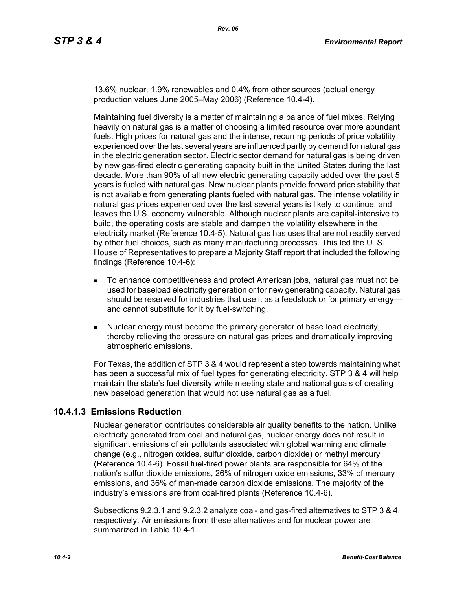13.6% nuclear, 1.9% renewables and 0.4% from other sources (actual energy production values June 2005–May 2006) (Reference 10.4-4).

Maintaining fuel diversity is a matter of maintaining a balance of fuel mixes. Relying heavily on natural gas is a matter of choosing a limited resource over more abundant fuels. High prices for natural gas and the intense, recurring periods of price volatility experienced over the last several years are influenced partly by demand for natural gas in the electric generation sector. Electric sector demand for natural gas is being driven by new gas-fired electric generating capacity built in the United States during the last decade. More than 90% of all new electric generating capacity added over the past 5 years is fueled with natural gas. New nuclear plants provide forward price stability that is not available from generating plants fueled with natural gas. The intense volatility in natural gas prices experienced over the last several years is likely to continue, and leaves the U.S. economy vulnerable. Although nuclear plants are capital-intensive to build, the operating costs are stable and dampen the volatility elsewhere in the electricity market (Reference 10.4-5). Natural gas has uses that are not readily served by other fuel choices, such as many manufacturing processes. This led the U. S. House of Representatives to prepare a Majority Staff report that included the following findings (Reference 10.4-6):

- To enhance competitiveness and protect American jobs, natural gas must not be used for baseload electricity generation or for new generating capacity. Natural gas should be reserved for industries that use it as a feedstock or for primary energy and cannot substitute for it by fuel-switching.
- Nuclear energy must become the primary generator of base load electricity, thereby relieving the pressure on natural gas prices and dramatically improving atmospheric emissions.

For Texas, the addition of STP 3 & 4 would represent a step towards maintaining what has been a successful mix of fuel types for generating electricity. STP 3 & 4 will help maintain the state's fuel diversity while meeting state and national goals of creating new baseload generation that would not use natural gas as a fuel.

# **10.4.1.3 Emissions Reduction**

Nuclear generation contributes considerable air quality benefits to the nation. Unlike electricity generated from coal and natural gas, nuclear energy does not result in significant emissions of air pollutants associated with global warming and climate change (e.g., nitrogen oxides, sulfur dioxide, carbon dioxide) or methyl mercury (Reference 10.4-6). Fossil fuel-fired power plants are responsible for 64% of the nation's sulfur dioxide emissions, 26% of nitrogen oxide emissions, 33% of mercury emissions, and 36% of man-made carbon dioxide emissions. The majority of the industry's emissions are from coal-fired plants (Reference 10.4-6).

Subsections 9.2.3.1 and 9.2.3.2 analyze coal- and gas-fired alternatives to STP 3 & 4, respectively. Air emissions from these alternatives and for nuclear power are summarized in Table 10.4-1.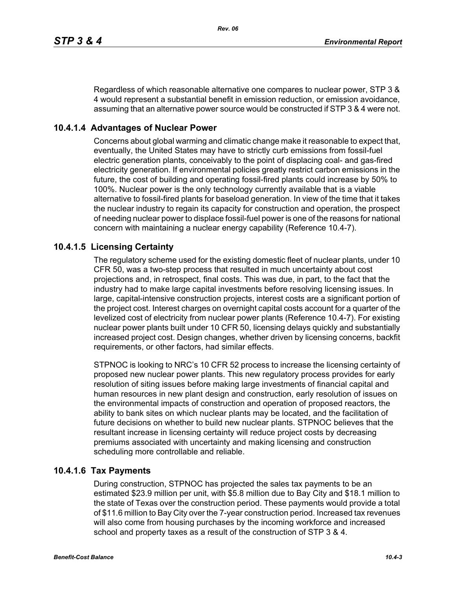Regardless of which reasonable alternative one compares to nuclear power, STP 3 & 4 would represent a substantial benefit in emission reduction, or emission avoidance, assuming that an alternative power source would be constructed if STP 3 & 4 were not.

# **10.4.1.4 Advantages of Nuclear Power**

Concerns about global warming and climatic change make it reasonable to expect that, eventually, the United States may have to strictly curb emissions from fossil-fuel electric generation plants, conceivably to the point of displacing coal- and gas-fired electricity generation. If environmental policies greatly restrict carbon emissions in the future, the cost of building and operating fossil-fired plants could increase by 50% to 100%. Nuclear power is the only technology currently available that is a viable alternative to fossil-fired plants for baseload generation. In view of the time that it takes the nuclear industry to regain its capacity for construction and operation, the prospect of needing nuclear power to displace fossil-fuel power is one of the reasons for national concern with maintaining a nuclear energy capability (Reference 10.4-7).

# **10.4.1.5 Licensing Certainty**

The regulatory scheme used for the existing domestic fleet of nuclear plants, under 10 CFR 50, was a two-step process that resulted in much uncertainty about cost projections and, in retrospect, final costs. This was due, in part, to the fact that the industry had to make large capital investments before resolving licensing issues. In large, capital-intensive construction projects, interest costs are a significant portion of the project cost. Interest charges on overnight capital costs account for a quarter of the levelized cost of electricity from nuclear power plants (Reference 10.4-7). For existing nuclear power plants built under 10 CFR 50, licensing delays quickly and substantially increased project cost. Design changes, whether driven by licensing concerns, backfit requirements, or other factors, had similar effects.

STPNOC is looking to NRC's 10 CFR 52 process to increase the licensing certainty of proposed new nuclear power plants. This new regulatory process provides for early resolution of siting issues before making large investments of financial capital and human resources in new plant design and construction, early resolution of issues on the environmental impacts of construction and operation of proposed reactors, the ability to bank sites on which nuclear plants may be located, and the facilitation of future decisions on whether to build new nuclear plants. STPNOC believes that the resultant increase in licensing certainty will reduce project costs by decreasing premiums associated with uncertainty and making licensing and construction scheduling more controllable and reliable.

# **10.4.1.6 Tax Payments**

During construction, STPNOC has projected the sales tax payments to be an estimated \$23.9 million per unit, with \$5.8 million due to Bay City and \$18.1 million to the state of Texas over the construction period. These payments would provide a total of \$11.6 million to Bay City over the 7-year construction period. Increased tax revenues will also come from housing purchases by the incoming workforce and increased school and property taxes as a result of the construction of STP 3 & 4.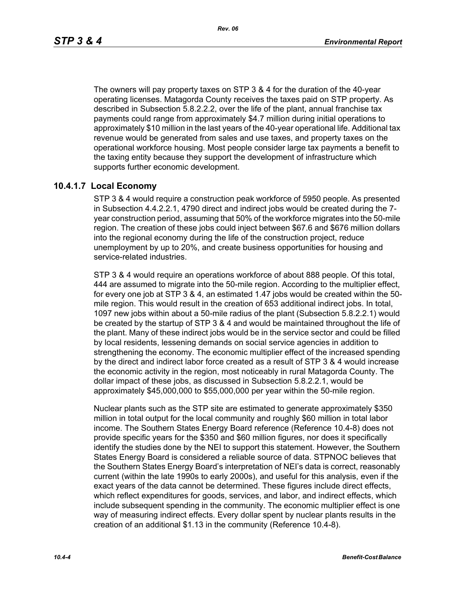The owners will pay property taxes on STP 3 & 4 for the duration of the 40-year operating licenses. Matagorda County receives the taxes paid on STP property. As described in Subsection 5.8.2.2.2, over the life of the plant, annual franchise tax payments could range from approximately \$4.7 million during initial operations to approximately \$10 million in the last years of the 40-year operational life. Additional tax revenue would be generated from sales and use taxes, and property taxes on the operational workforce housing. Most people consider large tax payments a benefit to the taxing entity because they support the development of infrastructure which supports further economic development.

# **10.4.1.7 Local Economy**

STP 3 & 4 would require a construction peak workforce of 5950 people. As presented in Subsection 4.4.2.2.1, 4790 direct and indirect jobs would be created during the 7 year construction period, assuming that 50% of the workforce migrates into the 50-mile region. The creation of these jobs could inject between \$67.6 and \$676 million dollars into the regional economy during the life of the construction project, reduce unemployment by up to 20%, and create business opportunities for housing and service-related industries.

STP 3 & 4 would require an operations workforce of about 888 people. Of this total, 444 are assumed to migrate into the 50-mile region. According to the multiplier effect, for every one job at STP 3 & 4, an estimated 1.47 jobs would be created within the 50 mile region. This would result in the creation of 653 additional indirect jobs. In total, 1097 new jobs within about a 50-mile radius of the plant (Subsection 5.8.2.2.1) would be created by the startup of STP 3 & 4 and would be maintained throughout the life of the plant. Many of these indirect jobs would be in the service sector and could be filled by local residents, lessening demands on social service agencies in addition to strengthening the economy. The economic multiplier effect of the increased spending by the direct and indirect labor force created as a result of STP 3 & 4 would increase the economic activity in the region, most noticeably in rural Matagorda County. The dollar impact of these jobs, as discussed in Subsection 5.8.2.2.1, would be approximately \$45,000,000 to \$55,000,000 per year within the 50-mile region.

Nuclear plants such as the STP site are estimated to generate approximately \$350 million in total output for the local community and roughly \$60 million in total labor income. The Southern States Energy Board reference (Reference 10.4-8) does not provide specific years for the \$350 and \$60 million figures, nor does it specifically identify the studies done by the NEI to support this statement. However, the Southern States Energy Board is considered a reliable source of data. STPNOC believes that the Southern States Energy Board's interpretation of NEI's data is correct, reasonably current (within the late 1990s to early 2000s), and useful for this analysis, even if the exact years of the data cannot be determined. These figures include direct effects, which reflect expenditures for goods, services, and labor, and indirect effects, which include subsequent spending in the community. The economic multiplier effect is one way of measuring indirect effects. Every dollar spent by nuclear plants results in the creation of an additional \$1.13 in the community (Reference 10.4-8).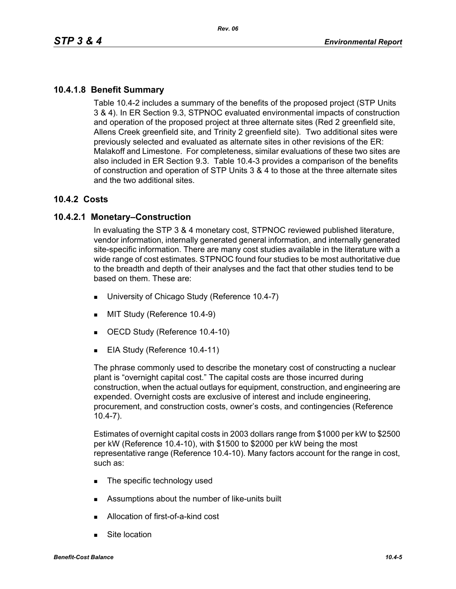# **10.4.1.8 Benefit Summary**

Table 10.4-2 includes a summary of the benefits of the proposed project (STP Units 3 & 4). In ER Section 9.3, STPNOC evaluated environmental impacts of construction and operation of the proposed project at three alternate sites (Red 2 greenfield site, Allens Creek greenfield site, and Trinity 2 greenfield site). Two additional sites were previously selected and evaluated as alternate sites in other revisions of the ER: Malakoff and Limestone. For completeness, similar evaluations of these two sites are also included in ER Section 9.3. Table 10.4-3 provides a comparison of the benefits of construction and operation of STP Units 3 & 4 to those at the three alternate sites and the two additional sites.

# **10.4.2 Costs**

# **10.4.2.1 Monetary–Construction**

In evaluating the STP 3 & 4 monetary cost, STPNOC reviewed published literature, vendor information, internally generated general information, and internally generated site-specific information. There are many cost studies available in the literature with a wide range of cost estimates. STPNOC found four studies to be most authoritative due to the breadth and depth of their analyses and the fact that other studies tend to be based on them. These are:

- **University of Chicago Study (Reference 10.4-7)**
- **MIT Study (Reference 10.4-9)**
- OECD Study (Reference 10.4-10)
- EIA Study (Reference 10.4-11)

The phrase commonly used to describe the monetary cost of constructing a nuclear plant is "overnight capital cost." The capital costs are those incurred during construction, when the actual outlays for equipment, construction, and engineering are expended. Overnight costs are exclusive of interest and include engineering, procurement, and construction costs, owner's costs, and contingencies (Reference 10.4-7).

Estimates of overnight capital costs in 2003 dollars range from \$1000 per kW to \$2500 per kW (Reference 10.4-10), with \$1500 to \$2000 per kW being the most representative range (Reference 10.4-10). Many factors account for the range in cost, such as:

- The specific technology used
- **EXECUTE:** Assumptions about the number of like-units built
- Allocation of first-of-a-kind cost
- Site location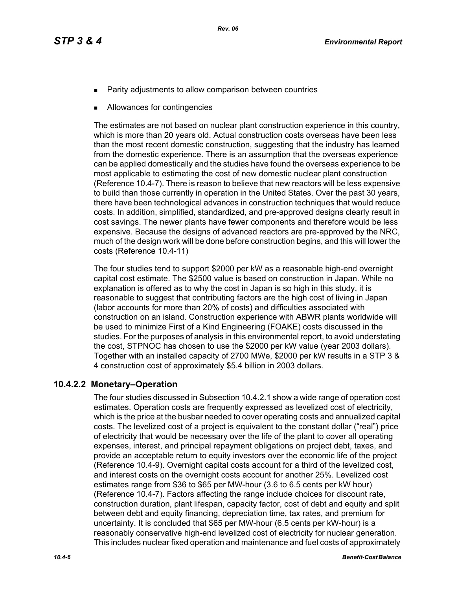- Parity adjustments to allow comparison between countries
- Allowances for contingencies

The estimates are not based on nuclear plant construction experience in this country, which is more than 20 years old. Actual construction costs overseas have been less than the most recent domestic construction, suggesting that the industry has learned from the domestic experience. There is an assumption that the overseas experience can be applied domestically and the studies have found the overseas experience to be most applicable to estimating the cost of new domestic nuclear plant construction (Reference 10.4-7). There is reason to believe that new reactors will be less expensive to build than those currently in operation in the United States. Over the past 30 years, there have been technological advances in construction techniques that would reduce costs. In addition, simplified, standardized, and pre-approved designs clearly result in cost savings. The newer plants have fewer components and therefore would be less expensive. Because the designs of advanced reactors are pre-approved by the NRC, much of the design work will be done before construction begins, and this will lower the costs (Reference 10.4-11)

The four studies tend to support \$2000 per kW as a reasonable high-end overnight capital cost estimate. The \$2500 value is based on construction in Japan. While no explanation is offered as to why the cost in Japan is so high in this study, it is reasonable to suggest that contributing factors are the high cost of living in Japan (labor accounts for more than 20% of costs) and difficulties associated with construction on an island. Construction experience with ABWR plants worldwide will be used to minimize First of a Kind Engineering (FOAKE) costs discussed in the studies. For the purposes of analysis in this environmental report, to avoid understating the cost, STPNOC has chosen to use the \$2000 per kW value (year 2003 dollars). Together with an installed capacity of 2700 MWe, \$2000 per kW results in a STP 3 & 4 construction cost of approximately \$5.4 billion in 2003 dollars.

# **10.4.2.2 Monetary–Operation**

The four studies discussed in Subsection 10.4.2.1 show a wide range of operation cost estimates. Operation costs are frequently expressed as levelized cost of electricity, which is the price at the busbar needed to cover operating costs and annualized capital costs. The levelized cost of a project is equivalent to the constant dollar ("real") price of electricity that would be necessary over the life of the plant to cover all operating expenses, interest, and principal repayment obligations on project debt, taxes, and provide an acceptable return to equity investors over the economic life of the project (Reference 10.4-9). Overnight capital costs account for a third of the levelized cost, and interest costs on the overnight costs account for another 25%. Levelized cost estimates range from \$36 to \$65 per MW-hour (3.6 to 6.5 cents per kW hour) (Reference 10.4-7). Factors affecting the range include choices for discount rate, construction duration, plant lifespan, capacity factor, cost of debt and equity and split between debt and equity financing, depreciation time, tax rates, and premium for uncertainty. It is concluded that \$65 per MW-hour (6.5 cents per kW-hour) is a reasonably conservative high-end levelized cost of electricity for nuclear generation. This includes nuclear fixed operation and maintenance and fuel costs of approximately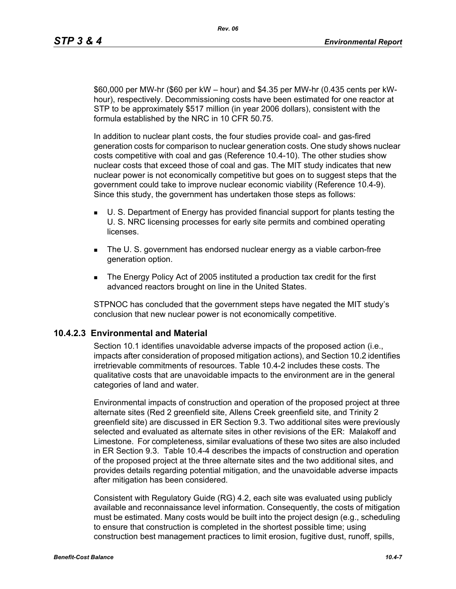\$60,000 per MW-hr (\$60 per kW – hour) and \$4.35 per MW-hr (0.435 cents per kWhour), respectively. Decommissioning costs have been estimated for one reactor at STP to be approximately \$517 million (in year 2006 dollars), consistent with the formula established by the NRC in 10 CFR 50.75.

In addition to nuclear plant costs, the four studies provide coal- and gas-fired generation costs for comparison to nuclear generation costs. One study shows nuclear costs competitive with coal and gas (Reference 10.4-10). The other studies show nuclear costs that exceed those of coal and gas. The MIT study indicates that new nuclear power is not economically competitive but goes on to suggest steps that the government could take to improve nuclear economic viability (Reference 10.4-9). Since this study, the government has undertaken those steps as follows:

- U. S. Department of Energy has provided financial support for plants testing the U. S. NRC licensing processes for early site permits and combined operating **licenses**
- The U. S. government has endorsed nuclear energy as a viable carbon-free generation option.
- The Energy Policy Act of 2005 instituted a production tax credit for the first advanced reactors brought on line in the United States.

STPNOC has concluded that the government steps have negated the MIT study's conclusion that new nuclear power is not economically competitive.

# **10.4.2.3 Environmental and Material**

Section 10.1 identifies unavoidable adverse impacts of the proposed action (i.e., impacts after consideration of proposed mitigation actions), and Section 10.2 identifies irretrievable commitments of resources. Table 10.4-2 includes these costs. The qualitative costs that are unavoidable impacts to the environment are in the general categories of land and water.

Environmental impacts of construction and operation of the proposed project at three alternate sites (Red 2 greenfield site, Allens Creek greenfield site, and Trinity 2 greenfield site) are discussed in ER Section 9.3. Two additional sites were previously selected and evaluated as alternate sites in other revisions of the ER: Malakoff and Limestone. For completeness, similar evaluations of these two sites are also included in ER Section 9.3. Table 10.4-4 describes the impacts of construction and operation of the proposed project at the three alternate sites and the two additional sites, and provides details regarding potential mitigation, and the unavoidable adverse impacts after mitigation has been considered.

Consistent with Regulatory Guide (RG) 4.2, each site was evaluated using publicly available and reconnaissance level information. Consequently, the costs of mitigation must be estimated. Many costs would be built into the project design (e.g., scheduling to ensure that construction is completed in the shortest possible time; using construction best management practices to limit erosion, fugitive dust, runoff, spills,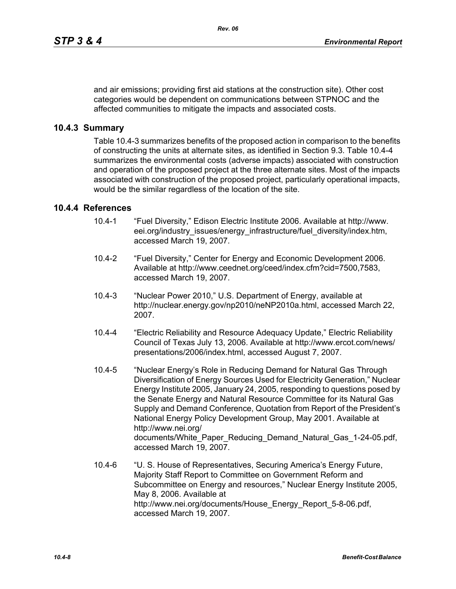and air emissions; providing first aid stations at the construction site). Other cost categories would be dependent on communications between STPNOC and the affected communities to mitigate the impacts and associated costs.

# **10.4.3 Summary**

Table 10.4-3 summarizes benefits of the proposed action in comparison to the benefits of constructing the units at alternate sites, as identified in Section 9.3. Table 10.4-4 summarizes the environmental costs (adverse impacts) associated with construction and operation of the proposed project at the three alternate sites. Most of the impacts associated with construction of the proposed project, particularly operational impacts, would be the similar regardless of the location of the site.

# **10.4.4 References**

- 10.4-1 "Fuel Diversity," Edison Electric Institute 2006. Available at http://www. eei.org/industry\_issues/energy\_infrastructure/fuel\_diversity/index.htm, accessed March 19, 2007.
- 10.4-2 "Fuel Diversity," Center for Energy and Economic Development 2006. Available at http://www.ceednet.org/ceed/index.cfm?cid=7500,7583, accessed March 19, 2007.
- 10.4-3 "Nuclear Power 2010," U.S. Department of Energy, available at http://nuclear.energy.gov/np2010/neNP2010a.html, accessed March 22, 2007.
- 10.4-4 "Electric Reliability and Resource Adequacy Update," Electric Reliability Council of Texas July 13, 2006. Available at http://www.ercot.com/news/ presentations/2006/index.html, accessed August 7, 2007.
- 10.4-5 "Nuclear Energy's Role in Reducing Demand for Natural Gas Through Diversification of Energy Sources Used for Electricity Generation," Nuclear Energy Institute 2005, January 24, 2005, responding to questions posed by the Senate Energy and Natural Resource Committee for its Natural Gas Supply and Demand Conference, Quotation from Report of the President's National Energy Policy Development Group, May 2001. Available at http://www.nei.org/ documents/White\_Paper\_Reducing\_Demand\_Natural\_Gas\_1-24-05.pdf, accessed March 19, 2007.
- 10.4-6 "U. S. House of Representatives, Securing America's Energy Future, Majority Staff Report to Committee on Government Reform and Subcommittee on Energy and resources," Nuclear Energy Institute 2005, May 8, 2006. Available at http://www.nei.org/documents/House\_Energy\_Report\_5-8-06.pdf, accessed March 19, 2007.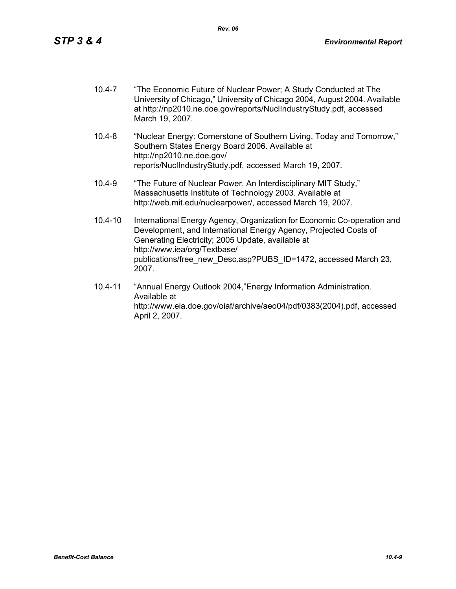- 10.4-7 "The Economic Future of Nuclear Power; A Study Conducted at The University of Chicago," University of Chicago 2004, August 2004. Available at http://np2010.ne.doe.gov/reports/NuclIndustryStudy.pdf, accessed March 19, 2007.
- 10.4-8 "Nuclear Energy: Cornerstone of Southern Living, Today and Tomorrow," Southern States Energy Board 2006. Available at http://np2010.ne.doe.gov/ reports/NuclIndustryStudy.pdf, accessed March 19, 2007.
- 10.4-9 "The Future of Nuclear Power, An Interdisciplinary MIT Study," Massachusetts Institute of Technology 2003. Available at http://web.mit.edu/nuclearpower/, accessed March 19, 2007.
- 10.4-10 International Energy Agency, Organization for Economic Co-operation and Development, and International Energy Agency, Projected Costs of Generating Electricity; 2005 Update, available at http://www.iea/org/Textbase/ publications/free\_new\_Desc.asp?PUBS\_ID=1472, accessed March 23, 2007.
- 10.4-11 "Annual Energy Outlook 2004,"Energy Information Administration. Available at http://www.eia.doe.gov/oiaf/archive/aeo04/pdf/0383(2004).pdf, accessed April 2, 2007.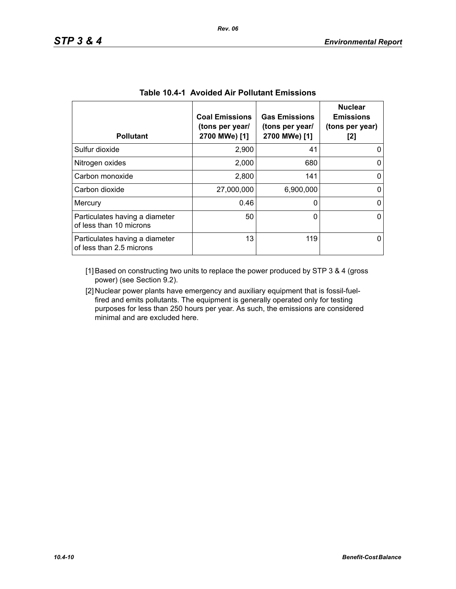| <b>Pollutant</b>                                           | <b>Coal Emissions</b><br>(tons per year/<br>2700 MWe) [1] | <b>Gas Emissions</b><br>(tons per year/<br>2700 MWe) [1] | <b>Nuclear</b><br><b>Emissions</b><br>(tons per year)<br>[2] |
|------------------------------------------------------------|-----------------------------------------------------------|----------------------------------------------------------|--------------------------------------------------------------|
| Sulfur dioxide                                             | 2,900                                                     | 41                                                       |                                                              |
| Nitrogen oxides                                            | 2,000                                                     | 680                                                      |                                                              |
| Carbon monoxide                                            | 2,800                                                     | 141                                                      | 0                                                            |
| Carbon dioxide                                             | 27,000,000                                                | 6,900,000                                                |                                                              |
| Mercury                                                    | 0.46                                                      | 0                                                        | 0                                                            |
| Particulates having a diameter<br>of less than 10 microns  | 50                                                        | 0                                                        | 0                                                            |
| Particulates having a diameter<br>of less than 2.5 microns | 13                                                        | 119                                                      |                                                              |

| <b>Table 10.4-1 Avoided Air Pollutant Emissions</b> |
|-----------------------------------------------------|
|-----------------------------------------------------|

[1] Based on constructing two units to replace the power produced by STP 3 & 4 (gross power) (see Section 9.2).

[2] Nuclear power plants have emergency and auxiliary equipment that is fossil-fuelfired and emits pollutants. The equipment is generally operated only for testing purposes for less than 250 hours per year. As such, the emissions are considered minimal and are excluded here.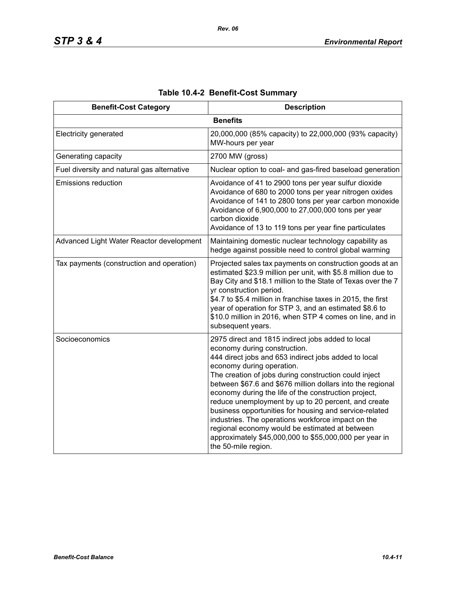| <b>Benefit-Cost Category</b>               | <b>Description</b>                                                                                                                                                                                                                                                                                                                                                                                                                                                                                                                                                                                                                                              |
|--------------------------------------------|-----------------------------------------------------------------------------------------------------------------------------------------------------------------------------------------------------------------------------------------------------------------------------------------------------------------------------------------------------------------------------------------------------------------------------------------------------------------------------------------------------------------------------------------------------------------------------------------------------------------------------------------------------------------|
|                                            | <b>Benefits</b>                                                                                                                                                                                                                                                                                                                                                                                                                                                                                                                                                                                                                                                 |
| <b>Electricity generated</b>               | 20,000,000 (85% capacity) to 22,000,000 (93% capacity)<br>MW-hours per year                                                                                                                                                                                                                                                                                                                                                                                                                                                                                                                                                                                     |
| Generating capacity                        | 2700 MW (gross)                                                                                                                                                                                                                                                                                                                                                                                                                                                                                                                                                                                                                                                 |
| Fuel diversity and natural gas alternative | Nuclear option to coal- and gas-fired baseload generation                                                                                                                                                                                                                                                                                                                                                                                                                                                                                                                                                                                                       |
| <b>Emissions reduction</b>                 | Avoidance of 41 to 2900 tons per year sulfur dioxide<br>Avoidance of 680 to 2000 tons per year nitrogen oxides<br>Avoidance of 141 to 2800 tons per year carbon monoxide<br>Avoidance of 6,900,000 to 27,000,000 tons per year<br>carbon dioxide<br>Avoidance of 13 to 119 tons per year fine particulates                                                                                                                                                                                                                                                                                                                                                      |
| Advanced Light Water Reactor development   | Maintaining domestic nuclear technology capability as<br>hedge against possible need to control global warming                                                                                                                                                                                                                                                                                                                                                                                                                                                                                                                                                  |
| Tax payments (construction and operation)  | Projected sales tax payments on construction goods at an<br>estimated \$23.9 million per unit, with \$5.8 million due to<br>Bay City and \$18.1 million to the State of Texas over the 7<br>yr construction period.<br>\$4.7 to \$5.4 million in franchise taxes in 2015, the first<br>year of operation for STP 3, and an estimated \$8.6 to<br>\$10.0 million in 2016, when STP 4 comes on line, and in<br>subsequent years.                                                                                                                                                                                                                                  |
| Socioeconomics                             | 2975 direct and 1815 indirect jobs added to local<br>economy during construction.<br>444 direct jobs and 653 indirect jobs added to local<br>economy during operation.<br>The creation of jobs during construction could inject<br>between \$67.6 and \$676 million dollars into the regional<br>economy during the life of the construction project,<br>reduce unemployment by up to 20 percent, and create<br>business opportunities for housing and service-related<br>industries. The operations workforce impact on the<br>regional economy would be estimated at between<br>approximately \$45,000,000 to \$55,000,000 per year in<br>the 50-mile region. |

# **Table 10.4-2 Benefit-Cost Summary**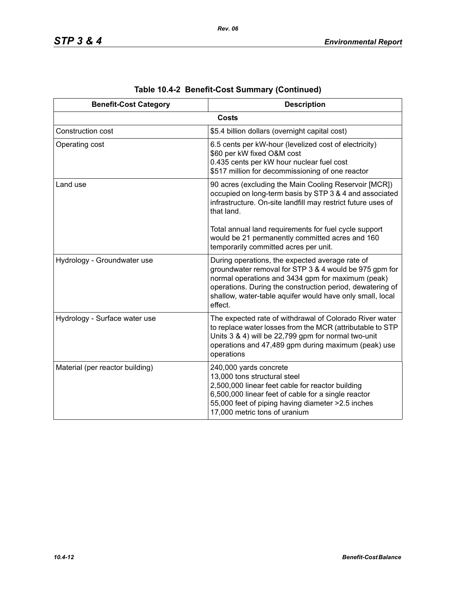| <b>Benefit-Cost Category</b>    | <b>Description</b>                                                                                                                                                                                                                                                                                  |
|---------------------------------|-----------------------------------------------------------------------------------------------------------------------------------------------------------------------------------------------------------------------------------------------------------------------------------------------------|
|                                 | <b>Costs</b>                                                                                                                                                                                                                                                                                        |
| Construction cost               | \$5.4 billion dollars (overnight capital cost)                                                                                                                                                                                                                                                      |
| Operating cost                  | 6.5 cents per kW-hour (levelized cost of electricity)<br>\$60 per kW fixed O&M cost<br>0.435 cents per kW hour nuclear fuel cost<br>\$517 million for decommissioning of one reactor                                                                                                                |
| Land use                        | 90 acres (excluding the Main Cooling Reservoir [MCR])<br>occupied on long-term basis by STP 3 & 4 and associated<br>infrastructure. On-site landfill may restrict future uses of<br>that land.                                                                                                      |
|                                 | Total annual land requirements for fuel cycle support<br>would be 21 permanently committed acres and 160<br>temporarily committed acres per unit.                                                                                                                                                   |
| Hydrology - Groundwater use     | During operations, the expected average rate of<br>groundwater removal for STP 3 & 4 would be 975 gpm for<br>normal operations and 3434 gpm for maximum (peak)<br>operations. During the construction period, dewatering of<br>shallow, water-table aquifer would have only small, local<br>effect. |
| Hydrology - Surface water use   | The expected rate of withdrawal of Colorado River water<br>to replace water losses from the MCR (attributable to STP<br>Units 3 & 4) will be 22,799 gpm for normal two-unit<br>operations and 47,489 gpm during maximum (peak) use<br>operations                                                    |
| Material (per reactor building) | 240,000 yards concrete<br>13,000 tons structural steel<br>2,500,000 linear feet cable for reactor building<br>6,500,000 linear feet of cable for a single reactor<br>55,000 feet of piping having diameter > 2.5 inches<br>17,000 metric tons of uranium                                            |

|  | Table 10.4-2 Benefit-Cost Summary (Continued) |  |  |
|--|-----------------------------------------------|--|--|
|--|-----------------------------------------------|--|--|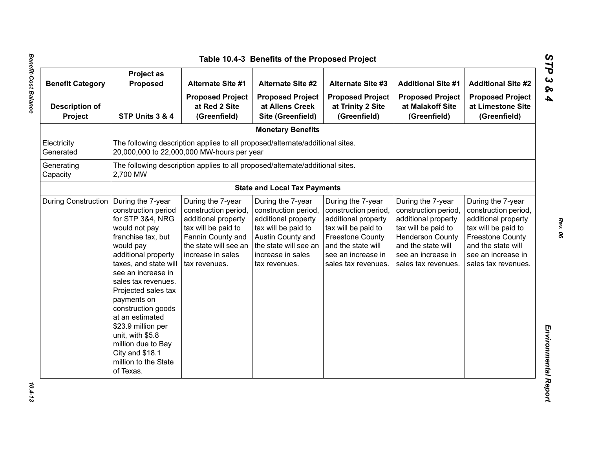| <b>Benefit Category</b>          | Project as<br><b>Proposed</b>                                                                                                                                                                                                                                                                                                                                                                                        | <b>Alternate Site #1</b>                                                                                                                                                    | <b>Alternate Site #2</b>                                                                                                                                                    | <b>Alternate Site #3</b>                                                                                                                                                              | <b>Additional Site #1</b>                                                                                                                                                             | <b>Additional Site #2</b>                                                                                                                                                             |
|----------------------------------|----------------------------------------------------------------------------------------------------------------------------------------------------------------------------------------------------------------------------------------------------------------------------------------------------------------------------------------------------------------------------------------------------------------------|-----------------------------------------------------------------------------------------------------------------------------------------------------------------------------|-----------------------------------------------------------------------------------------------------------------------------------------------------------------------------|---------------------------------------------------------------------------------------------------------------------------------------------------------------------------------------|---------------------------------------------------------------------------------------------------------------------------------------------------------------------------------------|---------------------------------------------------------------------------------------------------------------------------------------------------------------------------------------|
| <b>Description of</b><br>Project | STP Units 3 & 4                                                                                                                                                                                                                                                                                                                                                                                                      | <b>Proposed Project</b><br>at Red 2 Site<br>(Greenfield)                                                                                                                    | <b>Proposed Project</b><br>at Allens Creek<br>Site (Greenfield)                                                                                                             | <b>Proposed Project</b><br>at Trinity 2 Site<br>(Greenfield)                                                                                                                          | <b>Proposed Project</b><br>at Malakoff Site<br>(Greenfield)                                                                                                                           | <b>Proposed Project</b><br>at Limestone Site<br>(Greenfield)                                                                                                                          |
|                                  |                                                                                                                                                                                                                                                                                                                                                                                                                      |                                                                                                                                                                             | <b>Monetary Benefits</b>                                                                                                                                                    |                                                                                                                                                                                       |                                                                                                                                                                                       |                                                                                                                                                                                       |
| Electricity<br>Generated         |                                                                                                                                                                                                                                                                                                                                                                                                                      | The following description applies to all proposed/alternate/additional sites.<br>20,000,000 to 22,000,000 MW-hours per year                                                 |                                                                                                                                                                             |                                                                                                                                                                                       |                                                                                                                                                                                       |                                                                                                                                                                                       |
| Generating<br>Capacity           | 2,700 MW                                                                                                                                                                                                                                                                                                                                                                                                             | The following description applies to all proposed/alternate/additional sites.                                                                                               |                                                                                                                                                                             |                                                                                                                                                                                       |                                                                                                                                                                                       |                                                                                                                                                                                       |
|                                  |                                                                                                                                                                                                                                                                                                                                                                                                                      |                                                                                                                                                                             | <b>State and Local Tax Payments</b>                                                                                                                                         |                                                                                                                                                                                       |                                                                                                                                                                                       |                                                                                                                                                                                       |
| <b>During Construction</b>       | During the 7-year<br>construction period<br>for STP 3&4, NRG<br>would not pay<br>franchise tax, but<br>would pay<br>additional property<br>taxes, and state will<br>see an increase in<br>sales tax revenues.<br>Projected sales tax<br>payments on<br>construction goods<br>at an estimated<br>\$23.9 million per<br>unit, with \$5.8<br>million due to Bay<br>City and \$18.1<br>million to the State<br>of Texas. | During the 7-year<br>construction period,<br>additional property<br>tax will be paid to<br>Fannin County and<br>the state will see an<br>increase in sales<br>tax revenues. | During the 7-year<br>construction period,<br>additional property<br>tax will be paid to<br>Austin County and<br>the state will see an<br>increase in sales<br>tax revenues. | During the 7-year<br>construction period,<br>additional property<br>tax will be paid to<br><b>Freestone County</b><br>and the state will<br>see an increase in<br>sales tax revenues. | During the 7-year<br>construction period,<br>additional property<br>tax will be paid to<br><b>Henderson County</b><br>and the state will<br>see an increase in<br>sales tax revenues. | During the 7-year<br>construction period,<br>additional property<br>tax will be paid to<br><b>Freestone County</b><br>and the state will<br>see an increase in<br>sales tax revenues. |

*STP 3 & 4*

 $10.4 - 13$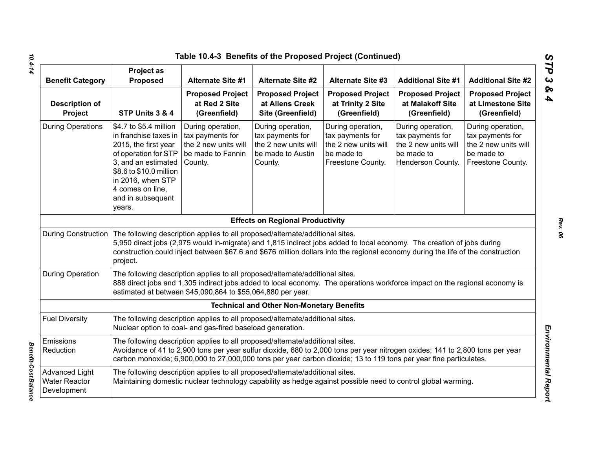|                                                              |                                                                                                                                                                                                                           | Table 10.4-3 Benefits of the Proposed Project (Continued)                                                                                    |                                                                                               |                                                                                                                                                                                                                                                            |                                                                                                  |                                                                                                  |
|--------------------------------------------------------------|---------------------------------------------------------------------------------------------------------------------------------------------------------------------------------------------------------------------------|----------------------------------------------------------------------------------------------------------------------------------------------|-----------------------------------------------------------------------------------------------|------------------------------------------------------------------------------------------------------------------------------------------------------------------------------------------------------------------------------------------------------------|--------------------------------------------------------------------------------------------------|--------------------------------------------------------------------------------------------------|
| <b>Benefit Category</b>                                      | <b>Project as</b><br>Proposed                                                                                                                                                                                             | <b>Alternate Site #1</b>                                                                                                                     | <b>Alternate Site #2</b>                                                                      | <b>Alternate Site #3</b>                                                                                                                                                                                                                                   | <b>Additional Site #1</b>                                                                        | <b>Additional Site #2</b>                                                                        |
| <b>Description of</b><br>Project                             | STP Units 3 & 4                                                                                                                                                                                                           | <b>Proposed Project</b><br>at Red 2 Site<br>(Greenfield)                                                                                     | <b>Proposed Project</b><br>at Allens Creek<br>Site (Greenfield)                               | <b>Proposed Project</b><br>at Trinity 2 Site<br>(Greenfield)                                                                                                                                                                                               | <b>Proposed Project</b><br>at Malakoff Site<br>(Greenfield)                                      | <b>Proposed Project</b><br>at Limestone Site<br>(Greenfield)                                     |
| <b>During Operations</b>                                     | \$4.7 to \$5.4 million<br>in franchise taxes in<br>2015, the first year<br>of operation for STP<br>3, and an estimated<br>\$8.6 to \$10.0 million<br>in 2016, when STP<br>4 comes on line,<br>and in subsequent<br>years. | During operation,<br>tax payments for<br>the 2 new units will<br>be made to Fannin<br>County.                                                | During operation,<br>tax payments for<br>the 2 new units will<br>be made to Austin<br>County. | During operation,<br>tax payments for<br>the 2 new units will<br>be made to<br>Freestone County.                                                                                                                                                           | During operation,<br>tax payments for<br>the 2 new units will<br>be made to<br>Henderson County. | During operation,<br>tax payments for<br>the 2 new units will<br>be made to<br>Freestone County. |
|                                                              |                                                                                                                                                                                                                           |                                                                                                                                              | <b>Effects on Regional Productivity</b>                                                       |                                                                                                                                                                                                                                                            |                                                                                                  |                                                                                                  |
| <b>During Construction</b>                                   | project.                                                                                                                                                                                                                  | The following description applies to all proposed/alternate/additional sites.                                                                |                                                                                               | 5,950 direct jobs (2,975 would in-migrate) and 1,815 indirect jobs added to local economy. The creation of jobs during<br>construction could inject between \$67.6 and \$676 million dollars into the regional economy during the life of the construction |                                                                                                  |                                                                                                  |
| <b>During Operation</b>                                      |                                                                                                                                                                                                                           | The following description applies to all proposed/alternate/additional sites.<br>estimated at between \$45,090,864 to \$55,064,880 per year. |                                                                                               | 888 direct jobs and 1,305 indirect jobs added to local economy. The operations workforce impact on the regional economy is                                                                                                                                 |                                                                                                  |                                                                                                  |
|                                                              |                                                                                                                                                                                                                           |                                                                                                                                              | <b>Technical and Other Non-Monetary Benefits</b>                                              |                                                                                                                                                                                                                                                            |                                                                                                  |                                                                                                  |
| <b>Fuel Diversity</b>                                        |                                                                                                                                                                                                                           | The following description applies to all proposed/alternate/additional sites.<br>Nuclear option to coal- and gas-fired baseload generation.  |                                                                                               |                                                                                                                                                                                                                                                            |                                                                                                  |                                                                                                  |
| Emissions<br>Reduction                                       |                                                                                                                                                                                                                           | The following description applies to all proposed/alternate/additional sites.                                                                |                                                                                               | Avoidance of 41 to 2,900 tons per year sulfur dioxide, 680 to 2,000 tons per year nitrogen oxides; 141 to 2,800 tons per year<br>carbon monoxide; 6,900,000 to 27,000,000 tons per year carbon dioxide; 13 to 119 tons per year fine particulates.         |                                                                                                  |                                                                                                  |
| <b>Advanced Light</b><br><b>Water Reactor</b><br>Development |                                                                                                                                                                                                                           | The following description applies to all proposed/alternate/additional sites.                                                                |                                                                                               | Maintaining domestic nuclear technology capability as hedge against possible need to control global warming.                                                                                                                                               |                                                                                                  |                                                                                                  |

**Benefit-Cost Balance** 

*STP 3 & 4*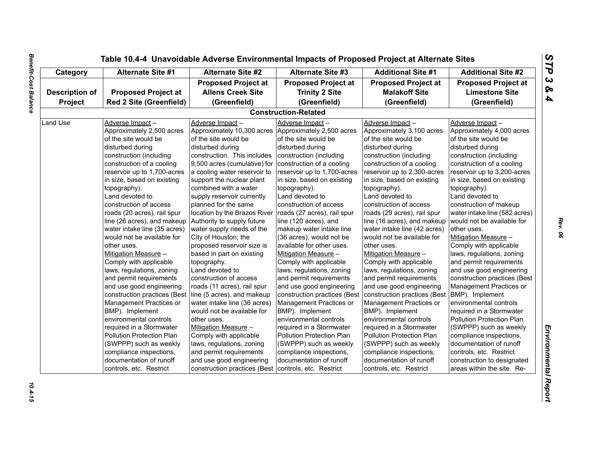| Category              | <b>Alternate Site #1</b>       | <b>Alternate Site #2</b>                             | <b>Alternate Site #3</b>     | <b>Additional Site #1</b>                      | <b>Additional Site #2</b>     |  |
|-----------------------|--------------------------------|------------------------------------------------------|------------------------------|------------------------------------------------|-------------------------------|--|
|                       | <b>Proposed Project at</b>     |                                                      | <b>Proposed Project at</b>   | <b>Proposed Project at</b>                     | <b>Proposed Project at</b>    |  |
| <b>Description of</b> | <b>Proposed Project at</b>     | <b>Allens Creek Site</b>                             | <b>Trinity 2 Site</b>        | <b>Malakoff Site</b>                           | <b>Limestone Site</b>         |  |
| Project               | <b>Red 2 Site (Greenfield)</b> | (Greenfield)                                         | (Greenfield)                 | (Greenfield)                                   | (Greenfield)                  |  |
|                       |                                |                                                      | <b>Construction-Related</b>  |                                                |                               |  |
| Land Use              | Adverse Impact-                | Adverse Impact-                                      | Adverse Impact-              | Adverse Impact-                                | Adverse Impact-               |  |
|                       | Approximately 2,500 acres      | Approximately 10,300 acres Approximately 2,500 acres |                              | Approximately 3,100 acres                      | Approximately 4,000 acres     |  |
|                       | of the site would be           | of the site would be                                 | of the site would be         | of the site would be                           | of the site would be          |  |
|                       | disturbed during               | disturbed during                                     | disturbed during             | disturbed during                               | disturbed during              |  |
|                       | construction (including        | construction. This includes                          | construction (including      | construction (including                        | construction (including       |  |
|                       | construction of a cooling      | 9,500 acres (cumulative) for                         | construction of a cooling    | construction of a cooling                      | construction of a cooling     |  |
|                       | reservoir up to 1,700-acres    | a cooling water reservoir to                         | reservoir up to 1,700-acres  | reservoir up to 2,300-acres                    | reservoir up to 3,200-acres   |  |
|                       | in size, based on existing     | support the nuclear plant                            | in size, based on existing   | in size, based on existing                     | in size, based on existing    |  |
|                       | topography).                   | combined with a water                                | topography).                 | topography).                                   | topography).                  |  |
|                       | Land devoted to                | supply reservoir currently                           | Land devoted to              | Land devoted to                                | Land devoted to               |  |
|                       | construction of access         | planned for the same                                 | construction of access       | construction of access                         | construction of makeup        |  |
|                       | roads (20 acres), rail spur    | location by the Brazos River                         | roads (27 acres), rail spur  | roads (29 acres), rail spur                    | water intake line (582 acres) |  |
|                       | line (26 acres), and makeup    | Authority to supply future                           | line (120 acres), and        | line (16 acres), and makeup                    | would not be available for    |  |
|                       | water intake line (35 acres)   | water supply needs of the                            | makeup water intake line     | water intake line (42 acres)                   | other uses.                   |  |
|                       | would not be available for     | City of Houston; the                                 | (36 acres), would not be     | would not be available for                     | Mitigation Measure -          |  |
|                       | other uses.                    | proposed reservoir size is                           | available for other uses.    | other uses.                                    | Comply with applicable        |  |
|                       | Mitigation Measure -           | based in part on existing                            | Mitigation Measure -         | Mitigation Measure -                           | laws, regulations, zoning     |  |
|                       | Comply with applicable         | topography.                                          | Comply with applicable       | Comply with applicable                         | and permit requirements       |  |
|                       | laws, regulations, zoning      | Land devoted to                                      | laws, regulations, zoning    | laws, regulations, zoning                      | and use good engineering      |  |
|                       | and permit requirements        | construction of access                               | and permit requirements      | and permit requirements                        | construction practices (Best  |  |
|                       |                                |                                                      |                              |                                                |                               |  |
|                       | and use good engineering       | roads (11 acres), rail spur                          | and use good engineering     | and use good engineering                       | Management Practices or       |  |
|                       | construction practices (Best   | line (5 acres), and makeup                           | construction practices (Best | construction practices (Best   BMP). Implement |                               |  |
|                       | Management Practices or        | water intake line (36 acres)                         | Management Practices or      | Management Practices or                        | environmental controls        |  |
|                       | BMP). Implement                | would not be available for                           | BMP). Implement              | BMP). Implement                                | required in a Stormwater      |  |
|                       | environmental controls         | other uses.                                          | environmental controls       | environmental controls                         | Pollution Protection Plan     |  |
|                       | required in a Stormwater       | Mitigation Measure -                                 | required in a Stormwater     | required in a Stormwater                       | (SWPPP) such as weekly        |  |
|                       | Pollution Protection Plan      | Comply with applicable                               | Pollution Protection Plan    | Pollution Protection Plan                      | compliance inspections,       |  |
|                       | (SWPPP) such as weekly         | laws, regulations, zoning                            | (SWPPP) such as weekly       | (SWPPP) such as weekly                         | documentation of runoff       |  |
|                       | compliance inspections,        | and permit requirements                              | compliance inspections,      | compliance inspections,                        | controls, etc. Restrict       |  |
|                       | documentation of runoff        | and use good engineering                             | documentation of runoff      | documentation of runoff                        | construction to designated    |  |
|                       | controls, etc. Restrict        | construction practices (Best                         | controls, etc. Restrict      | controls, etc. Restrict                        | areas within the site. Re-    |  |

10.4-15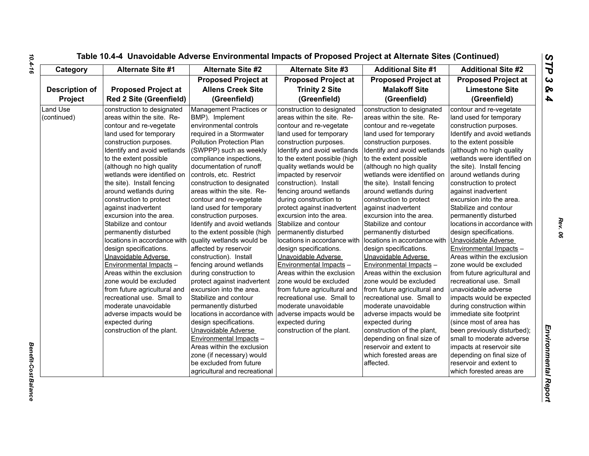| Category                       | <b>Alternate Site #1</b>                                                                                                                                                                                                                                                                                                                                                                                                                                                                                                                                          | <b>Alternate Site #2</b>                                                                                                                                                                                                                                                                                                                                                                                                                                                                                                                                       | Alternate Site #3                                                                                                                                                                                                                                                                                                                                                                                                                                                                                                                                                     | <b>Additional Site #1</b>                                                                                                                                                                                                                                                                                                                                                                                                                                                                                                                                         | <b>Additional Site #2</b>                                                                                                                                                                                                                                                                                                                                                                                                                                                                                                                                            |
|--------------------------------|-------------------------------------------------------------------------------------------------------------------------------------------------------------------------------------------------------------------------------------------------------------------------------------------------------------------------------------------------------------------------------------------------------------------------------------------------------------------------------------------------------------------------------------------------------------------|----------------------------------------------------------------------------------------------------------------------------------------------------------------------------------------------------------------------------------------------------------------------------------------------------------------------------------------------------------------------------------------------------------------------------------------------------------------------------------------------------------------------------------------------------------------|-----------------------------------------------------------------------------------------------------------------------------------------------------------------------------------------------------------------------------------------------------------------------------------------------------------------------------------------------------------------------------------------------------------------------------------------------------------------------------------------------------------------------------------------------------------------------|-------------------------------------------------------------------------------------------------------------------------------------------------------------------------------------------------------------------------------------------------------------------------------------------------------------------------------------------------------------------------------------------------------------------------------------------------------------------------------------------------------------------------------------------------------------------|----------------------------------------------------------------------------------------------------------------------------------------------------------------------------------------------------------------------------------------------------------------------------------------------------------------------------------------------------------------------------------------------------------------------------------------------------------------------------------------------------------------------------------------------------------------------|
|                                |                                                                                                                                                                                                                                                                                                                                                                                                                                                                                                                                                                   | <b>Proposed Project at</b>                                                                                                                                                                                                                                                                                                                                                                                                                                                                                                                                     | <b>Proposed Project at</b>                                                                                                                                                                                                                                                                                                                                                                                                                                                                                                                                            | <b>Proposed Project at</b>                                                                                                                                                                                                                                                                                                                                                                                                                                                                                                                                        | <b>Proposed Project at</b>                                                                                                                                                                                                                                                                                                                                                                                                                                                                                                                                           |
| <b>Description of</b>          | <b>Proposed Project at</b>                                                                                                                                                                                                                                                                                                                                                                                                                                                                                                                                        | <b>Allens Creek Site</b>                                                                                                                                                                                                                                                                                                                                                                                                                                                                                                                                       | <b>Trinity 2 Site</b>                                                                                                                                                                                                                                                                                                                                                                                                                                                                                                                                                 | <b>Malakoff Site</b>                                                                                                                                                                                                                                                                                                                                                                                                                                                                                                                                              | <b>Limestone Site</b>                                                                                                                                                                                                                                                                                                                                                                                                                                                                                                                                                |
| Project                        | <b>Red 2 Site (Greenfield)</b>                                                                                                                                                                                                                                                                                                                                                                                                                                                                                                                                    | (Greenfield)                                                                                                                                                                                                                                                                                                                                                                                                                                                                                                                                                   | (Greenfield)                                                                                                                                                                                                                                                                                                                                                                                                                                                                                                                                                          | (Greenfield)                                                                                                                                                                                                                                                                                                                                                                                                                                                                                                                                                      | (Greenfield)                                                                                                                                                                                                                                                                                                                                                                                                                                                                                                                                                         |
| <b>Land Use</b><br>(continued) | construction to designated<br>areas within the site. Re-<br>contour and re-vegetate<br>land used for temporary<br>construction purposes.<br>Identify and avoid wetlands<br>to the extent possible<br>(although no high quality<br>wetlands were identified on<br>the site). Install fencing<br>around wetlands during<br>construction to protect<br>against inadvertent<br>excursion into the area.<br>Stabilize and contour<br>permanently disturbed<br>locations in accordance with<br>design specifications.<br>Unavoidable Adverse<br>Environmental Impacts - | Management Practices or<br>BMP). Implement<br>environmental controls<br>required in a Stormwater<br>Pollution Protection Plan<br>(SWPPP) such as weekly<br>compliance inspections,<br>documentation of runoff<br>controls, etc. Restrict<br>construction to designated<br>areas within the site. Re-<br>contour and re-vegetate<br>land used for temporary<br>construction purposes.<br>Identify and avoid wetlands<br>to the extent possible (high<br>quality wetlands would be<br>affected by reservoir<br>construction). Install<br>fencing around wetlands | construction to designated<br>areas within the site. Re-<br>contour and re-vegetate<br>land used for temporary<br>construction purposes.<br>Identify and avoid wetlands<br>to the extent possible (high<br>quality wetlands would be<br>impacted by reservoir<br>construction). Install<br>fencing around wetlands<br>during construction to<br>protect against inadvertent<br>excursion into the area.<br>Stabilize and contour<br>permanently disturbed<br>locations in accordance with<br>design specifications.<br>Unavoidable Adverse<br>Environmental Impacts - | construction to designated<br>areas within the site. Re-<br>contour and re-vegetate<br>land used for temporary<br>construction purposes.<br>Identify and avoid wetlands<br>to the extent possible<br>(although no high quality<br>wetlands were identified on<br>the site). Install fencing<br>around wetlands during<br>construction to protect<br>against inadvertent<br>excursion into the area.<br>Stabilize and contour<br>permanently disturbed<br>locations in accordance with<br>design specifications.<br>Unavoidable Adverse<br>Environmental Impacts - | contour and re-vegetate<br>land used for temporary<br>construction purposes.<br>Identify and avoid wetlands<br>to the extent possible<br>(although no high quality<br>wetlands were identified on<br>the site). Install fencing<br>around wetlands during<br>construction to protect<br>against inadvertent<br>excursion into the area.<br>Stabilize and contour<br>permanently disturbed<br>locations in accordance with<br>design specifications.<br>Unavoidable Adverse<br><b>Environmental Impacts -</b><br>Areas within the exclusion<br>zone would be excluded |
|                                | Areas within the exclusion<br>zone would be excluded<br>from future agricultural and<br>recreational use. Small to<br>moderate unavoidable<br>adverse impacts would be<br>expected during<br>construction of the plant.                                                                                                                                                                                                                                                                                                                                           | during construction to<br>protect against inadvertent<br>excursion into the area.<br>Stabilize and contour<br>permanently disturbed<br>locations in accordance with<br>design specifications.<br>Unavoidable Adverse<br>Environmental Impacts -<br>Areas within the exclusion<br>zone (if necessary) would<br>be excluded from future<br>agricultural and recreational                                                                                                                                                                                         | Areas within the exclusion<br>zone would be excluded<br>from future agricultural and<br>recreational use. Small to<br>moderate unavoidable<br>adverse impacts would be<br>expected during<br>construction of the plant.                                                                                                                                                                                                                                                                                                                                               | Areas within the exclusion<br>zone would be excluded<br>from future agricultural and<br>recreational use. Small to<br>moderate unavoidable<br>adverse impacts would be<br>expected during<br>construction of the plant,<br>depending on final size of<br>reservoir and extent to<br>which forested areas are<br>affected.                                                                                                                                                                                                                                         | from future agricultural and<br>recreational use. Small<br>unavoidable adverse<br>impacts would be expected<br>during construction within<br>immediate site footprint<br>(since most of area has<br>been previously disturbed);<br>small to moderate adverse<br>impacts at reservoir site<br>depending on final size of<br>reservoir and extent to<br>which forested areas are                                                                                                                                                                                       |

**Benefit-Cost Balance**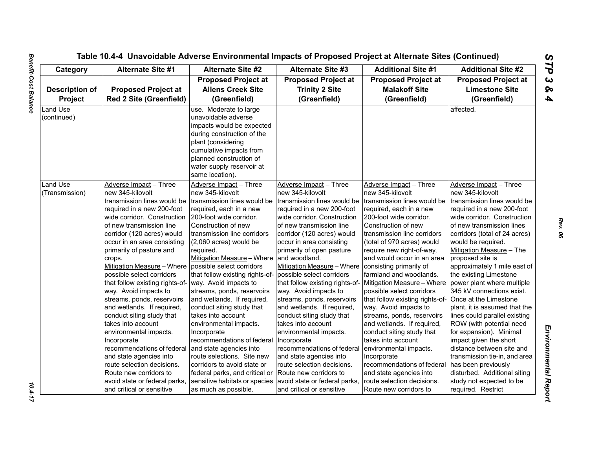$10.4 - 17$ 

| Category                                | <b>Alternate Site #1</b>                                                                                                                                                                                                                                                                                                                                                                                                                                                                                                                                                                                                                                                                                                           | <b>Alternate Site #2</b>                                                                                                                                                                                                                                                                                                                                                                                                                                                                                                                                                                                                                                                                 | <b>Alternate Site #3</b>                                                                                                                                                                                                                                                                                                                                                                                                                                                                                                                                                                                                                                                                   | <b>Additional Site #1</b>                                                                                                                                                                                                                                                                                                                                                                                                                                                                                                                                                                                                                                                                                  | <b>Additional Site #2</b>                                                                                                                                                                                                                                                                                                                                                                                                                                                                                                                                                                                                                                                                                                    |
|-----------------------------------------|------------------------------------------------------------------------------------------------------------------------------------------------------------------------------------------------------------------------------------------------------------------------------------------------------------------------------------------------------------------------------------------------------------------------------------------------------------------------------------------------------------------------------------------------------------------------------------------------------------------------------------------------------------------------------------------------------------------------------------|------------------------------------------------------------------------------------------------------------------------------------------------------------------------------------------------------------------------------------------------------------------------------------------------------------------------------------------------------------------------------------------------------------------------------------------------------------------------------------------------------------------------------------------------------------------------------------------------------------------------------------------------------------------------------------------|--------------------------------------------------------------------------------------------------------------------------------------------------------------------------------------------------------------------------------------------------------------------------------------------------------------------------------------------------------------------------------------------------------------------------------------------------------------------------------------------------------------------------------------------------------------------------------------------------------------------------------------------------------------------------------------------|------------------------------------------------------------------------------------------------------------------------------------------------------------------------------------------------------------------------------------------------------------------------------------------------------------------------------------------------------------------------------------------------------------------------------------------------------------------------------------------------------------------------------------------------------------------------------------------------------------------------------------------------------------------------------------------------------------|------------------------------------------------------------------------------------------------------------------------------------------------------------------------------------------------------------------------------------------------------------------------------------------------------------------------------------------------------------------------------------------------------------------------------------------------------------------------------------------------------------------------------------------------------------------------------------------------------------------------------------------------------------------------------------------------------------------------------|
| <b>Description of</b><br><b>Project</b> | <b>Proposed Project at</b><br><b>Red 2 Site (Greenfield)</b>                                                                                                                                                                                                                                                                                                                                                                                                                                                                                                                                                                                                                                                                       | <b>Proposed Project at</b><br><b>Allens Creek Site</b><br>(Greenfield)                                                                                                                                                                                                                                                                                                                                                                                                                                                                                                                                                                                                                   | <b>Proposed Project at</b><br><b>Trinity 2 Site</b><br>(Greenfield)                                                                                                                                                                                                                                                                                                                                                                                                                                                                                                                                                                                                                        | <b>Proposed Project at</b><br><b>Malakoff Site</b><br>(Greenfield)                                                                                                                                                                                                                                                                                                                                                                                                                                                                                                                                                                                                                                         | <b>Proposed Project at</b><br><b>Limestone Site</b><br>(Greenfield)                                                                                                                                                                                                                                                                                                                                                                                                                                                                                                                                                                                                                                                          |
| Land Use<br>(continued)                 |                                                                                                                                                                                                                                                                                                                                                                                                                                                                                                                                                                                                                                                                                                                                    | use. Moderate to large<br>unavoidable adverse<br>impacts would be expected<br>during construction of the<br>plant (considering<br>cumulative impacts from<br>planned construction of<br>water supply reservoir at<br>same location).                                                                                                                                                                                                                                                                                                                                                                                                                                                     |                                                                                                                                                                                                                                                                                                                                                                                                                                                                                                                                                                                                                                                                                            |                                                                                                                                                                                                                                                                                                                                                                                                                                                                                                                                                                                                                                                                                                            | affected.                                                                                                                                                                                                                                                                                                                                                                                                                                                                                                                                                                                                                                                                                                                    |
| Land Use<br>(Transmission)              | Adverse Impact - Three<br>new 345-kilovolt<br>transmission lines would be<br>required in a new 200-foot<br>wide corridor. Construction<br>of new transmission line<br>corridor (120 acres) would<br>occur in an area consisting<br>primarily of pasture and<br>crops.<br>Mitigation Measure - Where   possible select corridors<br>possible select corridors<br>that follow existing rights-of-<br>way. Avoid impacts to<br>streams, ponds, reservoirs<br>and wetlands. If required,<br>conduct siting study that<br>takes into account<br>environmental impacts.<br>Incorporate<br>recommendations of federal<br>and state agencies into<br>route selection decisions.<br>Route new corridors to<br>avoid state or federal parks, | Adverse Impact - Three<br>new 345-kilovolt<br>Itransmission lines would be<br>required, each in a new<br>200-foot wide corridor.<br>Construction of new<br>transmission line corridors<br>(2,060 acres) would be<br>required.<br>Mitigation Measure - Where   and woodland.<br>that follow existing rights-of-<br>way. Avoid impacts to<br>streams, ponds, reservoirs<br>and wetlands. If required,<br>conduct siting study that<br>takes into account<br>environmental impacts.<br>Incorporate<br>recommendations of federal<br>and state agencies into<br>route selections. Site new<br>corridors to avoid state or<br>federal parks, and critical or<br>sensitive habitats or species | Adverse Impact - Three<br>new 345-kilovolt<br>transmission lines would be<br>required in a new 200-foot<br>wide corridor. Construction<br>of new transmission line<br>corridor (120 acres) would<br>occur in area consisting<br>primarily of open pasture<br>Mitigation Measure - Where<br>possible select corridors<br>that follow existing rights-of-<br>way. Avoid impacts to<br>streams, ponds, reservoirs<br>and wetlands. If required,<br>conduct siting study that<br>takes into account<br>environmental impacts.<br>Incorporate<br>recommendations of federal<br>and state agencies into<br>route selection decisions.<br>Route new corridors to<br>avoid state or federal parks, | Adverse Impact - Three<br>new 345-kilovolt<br>transmission lines would be<br>required, each in a new<br>200-foot wide corridor.<br>Construction of new<br>transmission line corridors<br>(total of 970 acres) would<br>require new right-of-way,<br>and would occur in an area<br>consisting primarily of<br>farmland and woodlands.<br>Mitigation Measure - Where<br>possible select corridors<br>that follow existing rights-of-<br>way. Avoid impacts to<br>streams, ponds, reservoirs<br>and wetlands. If required,<br>conduct siting study that<br>takes into account<br>environmental impacts.<br>Incorporate<br>recommendations of federal<br>and state agencies into<br>route selection decisions. | Adverse Impact - Three<br>new 345-kilovolt<br>transmission lines would be<br>required in a new 200-foot<br>wide corridor. Construction<br>of new transmission lines<br>corridors (total of 24 acres)<br>would be required.<br>Mitigation Measure - The<br>proposed site is<br>approximately 1 mile east of<br>the existing Limestone<br>power plant where multiple<br>345 kV connections exist.<br>Once at the Limestone<br>plant, it is assumed that the<br>lines could parallel existing<br>ROW (with potential need<br>for expansion). Minimal<br>impact given the short<br>distance between site and<br>transmission tie-in, and area<br>has been previously<br>disturbed. Additional siting<br>study not expected to be |

*Rev. 06*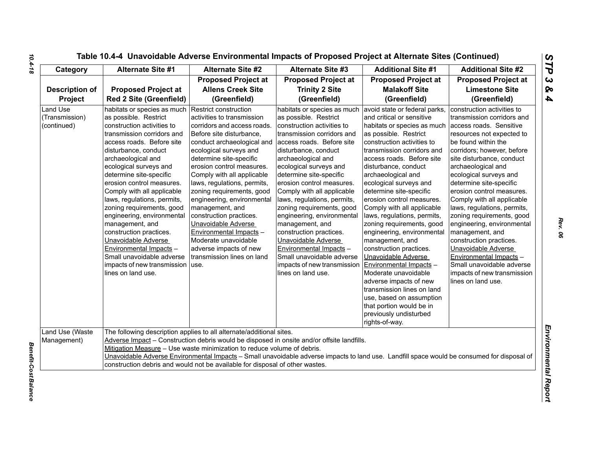| Table 10.4-4 Unavoidable Adverse Environmental Impacts of Proposed Project at Alternate Sites (Continued) |  |  |  |
|-----------------------------------------------------------------------------------------------------------|--|--|--|
|-----------------------------------------------------------------------------------------------------------|--|--|--|

| Category                                         | <b>Alternate Site #1</b>                                                                                                                                                                                                                                                                                                                                                                                                                                                                                                                                                                       | <b>Alternate Site #2</b>                                                                                                                                                                                                                                                                                                                                                                                                                                                                                                               | <b>Alternate Site #3</b>                                                                                                                                                                                                                                                                                                                                                                                                                                                                                                                                                                | <b>Additional Site #1</b>                                                                                                                                                                                                                                                                                                                                                                                                                                                                                                                                                                                                                                                                                                                               | <b>Additional Site #2</b>                                                                                                                                                                                                                                                                                                                                                                                                                                                                                                                                                                                            |
|--------------------------------------------------|------------------------------------------------------------------------------------------------------------------------------------------------------------------------------------------------------------------------------------------------------------------------------------------------------------------------------------------------------------------------------------------------------------------------------------------------------------------------------------------------------------------------------------------------------------------------------------------------|----------------------------------------------------------------------------------------------------------------------------------------------------------------------------------------------------------------------------------------------------------------------------------------------------------------------------------------------------------------------------------------------------------------------------------------------------------------------------------------------------------------------------------------|-----------------------------------------------------------------------------------------------------------------------------------------------------------------------------------------------------------------------------------------------------------------------------------------------------------------------------------------------------------------------------------------------------------------------------------------------------------------------------------------------------------------------------------------------------------------------------------------|---------------------------------------------------------------------------------------------------------------------------------------------------------------------------------------------------------------------------------------------------------------------------------------------------------------------------------------------------------------------------------------------------------------------------------------------------------------------------------------------------------------------------------------------------------------------------------------------------------------------------------------------------------------------------------------------------------------------------------------------------------|----------------------------------------------------------------------------------------------------------------------------------------------------------------------------------------------------------------------------------------------------------------------------------------------------------------------------------------------------------------------------------------------------------------------------------------------------------------------------------------------------------------------------------------------------------------------------------------------------------------------|
| <b>Description of</b><br>Project                 | <b>Proposed Project at</b><br><b>Red 2 Site (Greenfield)</b>                                                                                                                                                                                                                                                                                                                                                                                                                                                                                                                                   | <b>Proposed Project at</b><br><b>Allens Creek Site</b><br>(Greenfield)                                                                                                                                                                                                                                                                                                                                                                                                                                                                 | <b>Proposed Project at</b><br><b>Trinity 2 Site</b><br>(Greenfield)                                                                                                                                                                                                                                                                                                                                                                                                                                                                                                                     | <b>Proposed Project at</b><br><b>Malakoff Site</b><br>(Greenfield)                                                                                                                                                                                                                                                                                                                                                                                                                                                                                                                                                                                                                                                                                      | <b>Proposed Project at</b><br><b>Limestone Site</b><br>(Greenfield)                                                                                                                                                                                                                                                                                                                                                                                                                                                                                                                                                  |
| <b>Land Use</b><br>(Transmission)<br>(continued) | habitats or species as much<br>as possible. Restrict<br>construction activities to<br>transmission corridors and<br>access roads. Before site<br>disturbance, conduct<br>archaeological and<br>ecological surveys and<br>determine site-specific<br>erosion control measures.<br>Comply with all applicable<br>laws, regulations, permits,<br>zoning requirements, good<br>engineering, environmental<br>management, and<br>construction practices.<br>Unavoidable Adverse<br>Environmental Impacts -<br>Small unavoidable adverse<br>impacts of new transmission   use.<br>lines on land use. | Restrict construction<br>activities to transmission<br>corridors and access roads.<br>Before site disturbance,<br>conduct archaeological and<br>ecological surveys and<br>determine site-specific<br>erosion control measures.<br>Comply with all applicable<br>laws, regulations, permits,<br>zoning requirements, good<br>engineering, environmental<br>management, and<br>construction practices.<br>Unavoidable Adverse<br>Environmental Impacts -<br>Moderate unavoidable<br>adverse impacts of new<br>transmission lines on land | habitats or species as much<br>as possible. Restrict<br>construction activities to<br>transmission corridors and<br>access roads. Before site<br>disturbance, conduct<br>archaeological and<br>ecological surveys and<br>determine site-specific<br>erosion control measures.<br>Comply with all applicable<br>laws, regulations, permits,<br>zoning requirements, good<br>engineering, environmental<br>management, and<br>construction practices.<br>Unavoidable Adverse<br>Environmental Impacts -<br>Small unavoidable adverse<br>impacts of new transmission<br>lines on land use. | avoid state or federal parks,<br>and critical or sensitive<br>habitats or species as much<br>as possible. Restrict<br>construction activities to<br>transmission corridors and<br>access roads. Before site<br>disturbance, conduct<br>archaeological and<br>ecological surveys and<br>determine site-specific<br>erosion control measures.<br>Comply with all applicable<br>laws, regulations, permits,<br>zoning requirements, good<br>engineering, environmental<br>management, and<br>construction practices.<br>Unavoidable Adverse<br>Environmental Impacts -<br>Moderate unavoidable<br>adverse impacts of new<br>transmission lines on land<br>use, based on assumption<br>that portion would be in<br>previously undisturbed<br>rights-of-way. | construction activities to<br>transmission corridors and<br>access roads. Sensitive<br>resources not expected to<br>be found within the<br>corridors; however, before<br>site disturbance, conduct<br>archaeological and<br>ecological surveys and<br>determine site-specific<br>erosion control measures.<br>Comply with all applicable<br>laws, regulations, permits,<br>zoning requirements, good<br>engineering, environmental<br>management, and<br>construction practices.<br>Unavoidable Adverse<br>Environmental Impacts -<br>Small unavoidable adverse<br>impacts of new transmission<br>lines on land use. |
| Land Use (Waste<br>Management)                   |                                                                                                                                                                                                                                                                                                                                                                                                                                                                                                                                                                                                | The following description applies to all alternate/additional sites.<br>Mitigation Measure - Use waste minimization to reduce volume of debris.<br>construction debris and would not be available for disposal of other wastes.                                                                                                                                                                                                                                                                                                        | Adverse Impact - Construction debris would be disposed in onsite and/or offsite landfills.<br>Unavoidable Adverse Environmental Impacts - Small unavoidable adverse impacts to land use. Landfill space would be consumed for disposal of                                                                                                                                                                                                                                                                                                                                               |                                                                                                                                                                                                                                                                                                                                                                                                                                                                                                                                                                                                                                                                                                                                                         |                                                                                                                                                                                                                                                                                                                                                                                                                                                                                                                                                                                                                      |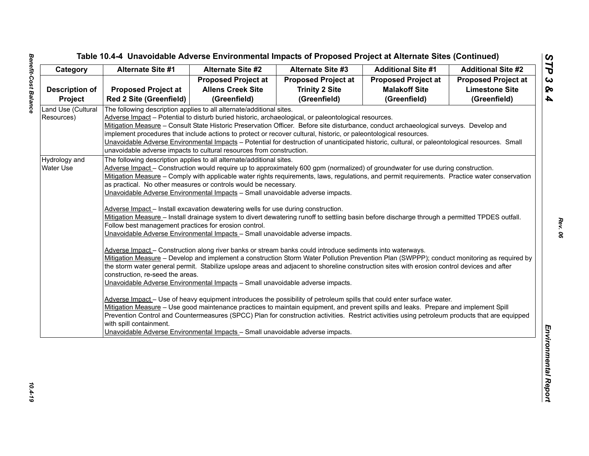| <b>Proposed Project at</b><br><b>Proposed Project at</b><br><b>Proposed Project at</b><br><b>Proposed Project at</b><br><b>Allens Creek Site</b><br><b>Trinity 2 Site</b><br><b>Limestone Site</b><br><b>Proposed Project at</b><br><b>Malakoff Site</b><br><b>Description of</b><br><b>Red 2 Site (Greenfield)</b><br>(Greenfield)<br>(Greenfield)<br>(Greenfield)<br>(Greenfield)<br><b>Project</b><br>Land Use (Cultural<br>The following description applies to all alternate/additional sites.<br>Adverse Impact - Potential to disturb buried historic, archaeological, or paleontological resources.<br>Resources)<br>Mitigation Measure – Consult State Historic Preservation Officer. Before site disturbance, conduct archaeological surveys. Develop and<br>implement procedures that include actions to protect or recover cultural, historic, or paleontological resources.<br>Unavoidable Adverse Environmental Impacts - Potential for destruction of unanticipated historic, cultural, or paleontological resources. Small<br>unavoidable adverse impacts to cultural resources from construction.<br>Hydrology and<br>The following description applies to all alternate/additional sites.<br>Adverse Impact - Construction would require up to approximately 600 gpm (normalized) of groundwater for use during construction.<br>Water Use<br>Mitigation Measure - Comply with applicable water rights requirements, laws, regulations, and permit requirements. Practice water conservation<br>as practical. No other measures or controls would be necessary.<br>Unavoidable Adverse Environmental Impacts - Small unavoidable adverse impacts.<br>Adverse Impact - Install excavation dewatering wells for use during construction.<br>Mitigation Measure - Install drainage system to divert dewatering runoff to settling basin before discharge through a permitted TPDES outfall.<br>Follow best management practices for erosion control.<br>Unavoidable Adverse Environmental Impacts - Small unavoidable adverse impacts.<br>Adverse Impact - Construction along river banks or stream banks could introduce sediments into waterways.<br>Mitigation Measure - Develop and implement a construction Storm Water Pollution Prevention Plan (SWPPP); conduct monitoring as required by<br>the storm water general permit. Stabilize upslope areas and adjacent to shoreline construction sites with erosion control devices and after<br>construction, re-seed the areas. | Category | <b>Alternate Site #1</b> | <b>Alternate Site #2</b> | <b>Alternate Site #3</b> | <b>Additional Site #1</b> | <b>Additional Site #2</b> |
|-----------------------------------------------------------------------------------------------------------------------------------------------------------------------------------------------------------------------------------------------------------------------------------------------------------------------------------------------------------------------------------------------------------------------------------------------------------------------------------------------------------------------------------------------------------------------------------------------------------------------------------------------------------------------------------------------------------------------------------------------------------------------------------------------------------------------------------------------------------------------------------------------------------------------------------------------------------------------------------------------------------------------------------------------------------------------------------------------------------------------------------------------------------------------------------------------------------------------------------------------------------------------------------------------------------------------------------------------------------------------------------------------------------------------------------------------------------------------------------------------------------------------------------------------------------------------------------------------------------------------------------------------------------------------------------------------------------------------------------------------------------------------------------------------------------------------------------------------------------------------------------------------------------------------------------------------------------------------------------------------------------------------------------------------------------------------------------------------------------------------------------------------------------------------------------------------------------------------------------------------------------------------------------------------------------------------------------------------------------------------------------------------------------------------------------------------------------------------------------------------------|----------|--------------------------|--------------------------|--------------------------|---------------------------|---------------------------|
|                                                                                                                                                                                                                                                                                                                                                                                                                                                                                                                                                                                                                                                                                                                                                                                                                                                                                                                                                                                                                                                                                                                                                                                                                                                                                                                                                                                                                                                                                                                                                                                                                                                                                                                                                                                                                                                                                                                                                                                                                                                                                                                                                                                                                                                                                                                                                                                                                                                                                                     |          |                          |                          |                          |                           |                           |
|                                                                                                                                                                                                                                                                                                                                                                                                                                                                                                                                                                                                                                                                                                                                                                                                                                                                                                                                                                                                                                                                                                                                                                                                                                                                                                                                                                                                                                                                                                                                                                                                                                                                                                                                                                                                                                                                                                                                                                                                                                                                                                                                                                                                                                                                                                                                                                                                                                                                                                     |          |                          |                          |                          |                           |                           |
|                                                                                                                                                                                                                                                                                                                                                                                                                                                                                                                                                                                                                                                                                                                                                                                                                                                                                                                                                                                                                                                                                                                                                                                                                                                                                                                                                                                                                                                                                                                                                                                                                                                                                                                                                                                                                                                                                                                                                                                                                                                                                                                                                                                                                                                                                                                                                                                                                                                                                                     |          |                          |                          |                          |                           |                           |
|                                                                                                                                                                                                                                                                                                                                                                                                                                                                                                                                                                                                                                                                                                                                                                                                                                                                                                                                                                                                                                                                                                                                                                                                                                                                                                                                                                                                                                                                                                                                                                                                                                                                                                                                                                                                                                                                                                                                                                                                                                                                                                                                                                                                                                                                                                                                                                                                                                                                                                     |          |                          |                          |                          |                           |                           |
|                                                                                                                                                                                                                                                                                                                                                                                                                                                                                                                                                                                                                                                                                                                                                                                                                                                                                                                                                                                                                                                                                                                                                                                                                                                                                                                                                                                                                                                                                                                                                                                                                                                                                                                                                                                                                                                                                                                                                                                                                                                                                                                                                                                                                                                                                                                                                                                                                                                                                                     |          |                          |                          |                          |                           |                           |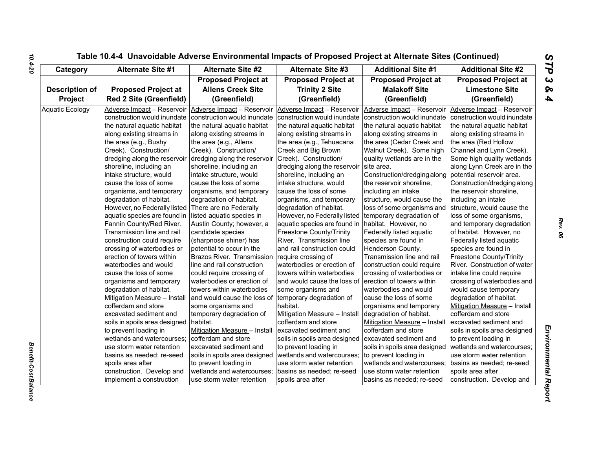| Category               | <b>Alternate Site #1</b>       | <b>Alternate Site #2</b>      | <b>Alternate Site #3</b>                          | <b>Additional Site #1</b>     | <b>Additional Site #2</b>     |
|------------------------|--------------------------------|-------------------------------|---------------------------------------------------|-------------------------------|-------------------------------|
|                        |                                | <b>Proposed Project at</b>    | <b>Proposed Project at</b>                        | <b>Proposed Project at</b>    | <b>Proposed Project at</b>    |
| <b>Description of</b>  | <b>Proposed Project at</b>     | <b>Allens Creek Site</b>      | <b>Trinity 2 Site</b>                             | <b>Malakoff Site</b>          | <b>Limestone Site</b>         |
| Project                | <b>Red 2 Site (Greenfield)</b> | (Greenfield)                  | (Greenfield)                                      | (Greenfield)                  | (Greenfield)                  |
| <b>Aquatic Ecology</b> | Adverse Impact - Reservoir     | Adverse Impact - Reservoir    | Adverse Impact - Reservoir                        | Adverse Impact - Reservoir    | Adverse Impact - Reservoir    |
|                        | construction would inundate    | construction would inundate   | construction would inundate                       | construction would inundate   | construction would inundate   |
|                        | the natural aquatic habitat    | the natural aquatic habitat   | the natural aquatic habitat                       | the natural aquatic habitat   | the natural aquatic habitat   |
|                        | along existing streams in      | along existing streams in     | along existing streams in                         | along existing streams in     | along existing streams in     |
|                        | the area (e.g., Bushy          | the area (e.g., Allens        | the area (e.g., Tehuacana                         | the area (Cedar Creek and     | the area (Red Hollow          |
|                        | Creek). Construction/          | Creek). Construction/         | Creek and Big Brown                               | Walnut Creek). Some high      | Channel and Lynn Creek).      |
|                        | dredging along the reservoir   | dredging along the reservoir  | Creek). Construction/                             | quality wetlands are in the   | Some high quality wetlands    |
|                        | shoreline, including an        | shoreline, including an       | dredging along the reservoir                      | site area.                    | along Lynn Creek are in the   |
|                        | intake structure, would        | intake structure, would       | shoreline, including an                           | Construction/dredging along   | potential reservoir area.     |
|                        | cause the loss of some         | cause the loss of some        | intake structure, would                           | the reservoir shoreline,      | Construction/dredging along   |
|                        | organisms, and temporary       | organisms, and temporary      | cause the loss of some                            | including an intake           | the reservoir shoreline,      |
|                        | degradation of habitat.        | degradation of habitat.       | organisms, and temporary                          | structure, would cause the    | including an intake           |
|                        | However, no Federally listed   | There are no Federally        | degradation of habitat.                           | loss of some organisms and    | structure, would cause the    |
|                        | aquatic species are found in   | listed aquatic species in     | However, no Federally listed                      | temporary degradation of      | loss of some organisms,       |
|                        | Fannin County/Red River.       | Austin County; however, a     | aquatic species are found in habitat. However, no |                               | and temporary degradation     |
|                        | Transmission line and rail     | candidate species             | <b>Freestone County/Trinity</b>                   | Federally listed aquatic      | of habitat. However, no       |
|                        | construction could require     | (sharpnose shiner) has        | River. Transmission line                          | species are found in          | Federally listed aquatic      |
|                        | crossing of waterbodies or     | potential to occur in the     | and rail construction could                       | Henderson County.             | species are found in          |
|                        | erection of towers within      | Brazos River. Transmission    | require crossing of                               | Transmission line and rail    | Freestone County/Trinity      |
|                        | waterbodies and would          | line and rail construction    | waterbodies or erection of                        | construction could require    | River. Construction of water  |
|                        | cause the loss of some         | could require crossing of     | towers within waterbodies                         | crossing of waterbodies or    | intake line could require     |
|                        | organisms and temporary        | waterbodies or erection of    | and would cause the loss of                       | erection of towers within     | crossing of waterbodies and   |
|                        | degradation of habitat.        | towers within waterbodies     | some organisms and                                | waterbodies and would         | would cause temporary         |
|                        | Mitigation Measure - Install   | and would cause the loss of   | temporary degradation of                          | cause the loss of some        | degradation of habitat.       |
|                        | cofferdam and store            | some organisms and            | habitat.                                          | organisms and temporary       | Mitigation Measure - Install  |
|                        | excavated sediment and         | temporary degradation of      | Mitigation Measure - Install                      | degradation of habitat.       | cofferdam and store           |
|                        | soils in spoils area designed  | habitat.                      | cofferdam and store                               | Mitigation Measure - Install  | excavated sediment and        |
|                        | to prevent loading in          | Mitigation Measure - Install  | excavated sediment and                            | cofferdam and store           | soils in spoils area designed |
|                        | wetlands and watercourses;     | cofferdam and store           | soils in spoils area designed                     | excavated sediment and        | to prevent loading in         |
|                        | use storm water retention      | excavated sediment and        | to prevent loading in                             | soils in spoils area designed | wetlands and watercourses;    |
|                        | basins as needed; re-seed      | soils in spoils area designed | wetlands and watercourses;                        | to prevent loading in         | use storm water retention     |
|                        | spoils area after              | to prevent loading in         | use storm water retention                         | wetlands and watercourses;    | basins as needed; re-seed     |
|                        | construction. Develop and      | wetlands and watercourses;    | basins as needed; re-seed                         | use storm water retention     | spoils area after             |
|                        | implement a construction       | use storm water retention     | spoils area after                                 | basins as needed; re-seed     | construction. Develop and     |

**Benefit-Cost Balance**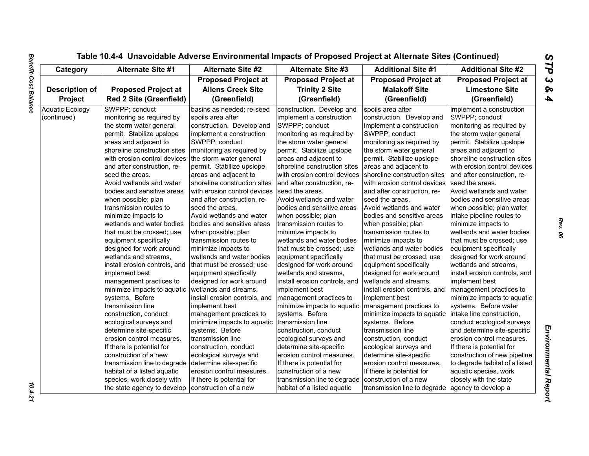| Category               | <b>Alternate Site #1</b>       | <b>Alternate Site #2</b>      | <b>Alternate Site #3</b>      | <b>Additional Site #1</b>     | <b>Additional Site #2</b>      |
|------------------------|--------------------------------|-------------------------------|-------------------------------|-------------------------------|--------------------------------|
|                        |                                | <b>Proposed Project at</b>    | <b>Proposed Project at</b>    | <b>Proposed Project at</b>    | <b>Proposed Project at</b>     |
| <b>Description of</b>  | <b>Proposed Project at</b>     | <b>Allens Creek Site</b>      | <b>Trinity 2 Site</b>         | <b>Malakoff Site</b>          | <b>Limestone Site</b>          |
| Project                | <b>Red 2 Site (Greenfield)</b> | (Greenfield)                  | (Greenfield)                  | (Greenfield)                  | (Greenfield)                   |
| <b>Aquatic Ecology</b> | SWPPP; conduct                 | basins as needed; re-seed     | construction. Develop and     | spoils area after             | implement a construction       |
| (continued)            | monitoring as required by      | spoils area after             | implement a construction      | construction. Develop and     | SWPPP; conduct                 |
|                        | the storm water general        | construction. Develop and     | SWPPP; conduct                | implement a construction      | monitoring as required by      |
|                        | permit. Stabilize upslope      | implement a construction      | monitoring as required by     | SWPPP; conduct                | the storm water general        |
|                        | areas and adjacent to          | SWPPP; conduct                | the storm water general       | monitoring as required by     | permit. Stabilize upslope      |
|                        | shoreline construction sites   | monitoring as required by     | permit. Stabilize upslope     | the storm water general       | areas and adjacent to          |
|                        | with erosion control devices   | the storm water general       | areas and adjacent to         | permit. Stabilize upslope     | shoreline construction sites   |
|                        | and after construction, re-    | permit. Stabilize upslope     | shoreline construction sites  | areas and adjacent to         | with erosion control devices   |
|                        | seed the areas.                | areas and adjacent to         | with erosion control devices  | shoreline construction sites  | and after construction, re-    |
|                        | Avoid wetlands and water       | shoreline construction sites  | and after construction, re-   | with erosion control devices  | seed the areas.                |
|                        | bodies and sensitive areas     | with erosion control devices  | seed the areas.               | and after construction, re-   | Avoid wetlands and water       |
|                        | when possible; plan            | and after construction, re-   | Avoid wetlands and water      | seed the areas.               | bodies and sensitive areas     |
|                        | transmission routes to         | seed the areas.               | bodies and sensitive areas    | Avoid wetlands and water      | when possible; plan water      |
|                        | minimize impacts to            | Avoid wetlands and water      | when possible; plan           | bodies and sensitive areas    | intake pipeline routes to      |
|                        | wetlands and water bodies      | bodies and sensitive areas    | transmission routes to        | when possible; plan           | minimize impacts to            |
|                        | that must be crossed: use      | when possible; plan           | minimize impacts to           | transmission routes to        | wetlands and water bodies      |
|                        | equipment specifically         | transmission routes to        | wetlands and water bodies     | minimize impacts to           | that must be crossed: use      |
|                        | designed for work around       | minimize impacts to           | that must be crossed; use     | wetlands and water bodies     | equipment specifically         |
|                        | wetlands and streams,          | wetlands and water bodies     | equipment specifically        | that must be crossed; use     | designed for work around       |
|                        | install erosion controls, and  | that must be crossed; use     | designed for work around      | equipment specifically        | wetlands and streams,          |
|                        | implement best                 | equipment specifically        | wetlands and streams.         | designed for work around      | install erosion controls, and  |
|                        | management practices to        | designed for work around      | install erosion controls, and | wetlands and streams,         | implement best                 |
|                        | minimize impacts to aquatic    | wetlands and streams,         | implement best                | install erosion controls, and | management practices to        |
|                        | systems. Before                | install erosion controls, and | management practices to       | implement best                | minimize impacts to aquatic    |
|                        | transmission line              | implement best                | minimize impacts to aquatic   | management practices to       | systems. Before water          |
|                        | construction, conduct          | management practices to       | systems. Before               | minimize impacts to aquatic   | intake line construction,      |
|                        | ecological surveys and         | minimize impacts to aquatic   | transmission line             | systems. Before               | conduct ecological surveys     |
|                        | determine site-specific        | systems. Before               | construction, conduct         | transmission line             | and determine site-specific    |
|                        | erosion control measures.      | transmission line             | ecological surveys and        | construction, conduct         | erosion control measures.      |
|                        | If there is potential for      | construction, conduct         | determine site-specific       | ecological surveys and        | If there is potential for      |
|                        | construction of a new          | ecological surveys and        | erosion control measures.     | determine site-specific       | construction of new pipeline   |
|                        | transmission line to degrade   | determine site-specific       | If there is potential for     | erosion control measures.     | to degrade habitat of a listed |
|                        | habitat of a listed aquatic    | erosion control measures.     | construction of a new         | If there is potential for     | aquatic species, work          |
|                        | species, work closely with     | If there is potential for     | transmission line to degrade  | construction of a new         | closely with the state         |
|                        | the state agency to develop    | construction of a new         | habitat of a listed aguatic   | transmission line to degrade  | agency to develop a            |

 $10.4 - 21$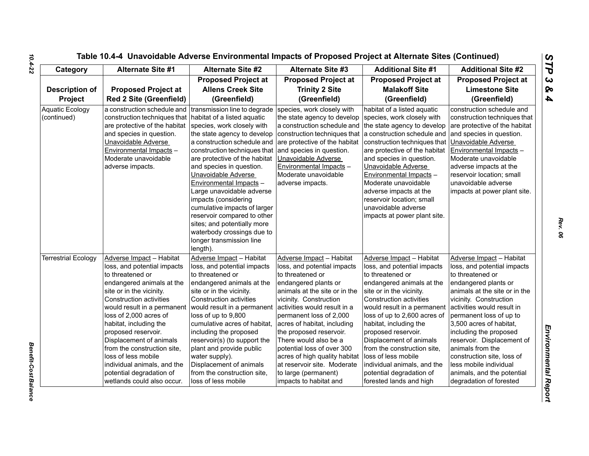| Category                              | <b>Alternate Site #1</b>                                                                                                                                                                                                                                                                                                                                                                                                                                   | <b>Alternate Site #2</b>                                                                                                                                                                                                                                                                                                                                                                                                                       | <b>Alternate Site #3</b>                                                                                                                                                                                                                                                                                                                                                                                                                                     | <b>Additional Site #1</b>                                                                                                                                                                                                                                                                                                                                                                                                                                     | <b>Additional Site #2</b>                                                                                                                                                                                                                                                                                                                                                                                                                       |
|---------------------------------------|------------------------------------------------------------------------------------------------------------------------------------------------------------------------------------------------------------------------------------------------------------------------------------------------------------------------------------------------------------------------------------------------------------------------------------------------------------|------------------------------------------------------------------------------------------------------------------------------------------------------------------------------------------------------------------------------------------------------------------------------------------------------------------------------------------------------------------------------------------------------------------------------------------------|--------------------------------------------------------------------------------------------------------------------------------------------------------------------------------------------------------------------------------------------------------------------------------------------------------------------------------------------------------------------------------------------------------------------------------------------------------------|---------------------------------------------------------------------------------------------------------------------------------------------------------------------------------------------------------------------------------------------------------------------------------------------------------------------------------------------------------------------------------------------------------------------------------------------------------------|-------------------------------------------------------------------------------------------------------------------------------------------------------------------------------------------------------------------------------------------------------------------------------------------------------------------------------------------------------------------------------------------------------------------------------------------------|
| <b>Description of</b><br>Project      | <b>Proposed Project at</b><br><b>Red 2 Site (Greenfield)</b>                                                                                                                                                                                                                                                                                                                                                                                               | <b>Proposed Project at</b><br><b>Allens Creek Site</b><br>(Greenfield)                                                                                                                                                                                                                                                                                                                                                                         | <b>Proposed Project at</b><br><b>Trinity 2 Site</b><br>(Greenfield)                                                                                                                                                                                                                                                                                                                                                                                          | <b>Proposed Project at</b><br><b>Malakoff Site</b><br>(Greenfield)                                                                                                                                                                                                                                                                                                                                                                                            | <b>Proposed Project at</b><br><b>Limestone Site</b><br>(Greenfield)                                                                                                                                                                                                                                                                                                                                                                             |
| <b>Aquatic Ecology</b><br>(continued) | a construction schedule and transmission line to degrade<br>construction techniques that   habitat of a listed aquatic<br>are protective of the habitat species, work closely with<br>and species in question.<br>Unavoidable Adverse<br>Environmental Impacts -<br>Moderate unavoidable<br>adverse impacts.                                                                                                                                               | the state agency to develop<br>a construction schedule and<br>construction techniques that<br>are protective of the habitat<br>and species in question.<br>Unavoidable Adverse<br>Environmental Impacts -<br>Large unavoidable adverse<br>impacts (considering<br>cumulative impacts of larger<br>reservoir compared to other<br>sites; and potentially more<br>waterbody crossings due to<br>longer transmission line<br>length).             | species, work closely with<br>the state agency to develop<br>a construction schedule and the state agency to develop<br>construction techniques that a construction schedule and<br>are protective of the habitat<br>and species in question.<br>Unavoidable Adverse<br>Environmental Impacts -<br>Moderate unavoidable<br>adverse impacts.                                                                                                                  | habitat of a listed aquatic<br>species, work closely with<br>construction techniques that<br>are protective of the habitat<br>and species in question.<br>Unavoidable Adverse<br>Environmental Impacts -<br>Moderate unavoidable<br>adverse impacts at the<br>reservoir location; small<br>unavoidable adverse<br>impacts at power plant site.                                                                                                                | construction schedule and<br>construction techniques that<br>are protective of the habitat<br>and species in question.<br>Unavoidable Adverse<br>Environmental Impacts -<br>Moderate unavoidable<br>adverse impacts at the<br>reservoir location; small<br>unavoidable adverse<br>impacts at power plant site.                                                                                                                                  |
| <b>Terrestrial Ecology</b>            | Adverse Impact - Habitat<br>loss, and potential impacts<br>to threatened or<br>endangered animals at the<br>site or in the vicinity.<br><b>Construction activities</b><br>would result in a permanent<br>loss of 2,000 acres of<br>habitat, including the<br>proposed reservoir.<br>Displacement of animals<br>from the construction site,<br>loss of less mobile<br>individual animals, and the<br>potential degradation of<br>wetlands could also occur. | Adverse Impact - Habitat<br>loss, and potential impacts<br>to threatened or<br>endangered animals at the<br>site or in the vicinity.<br>Construction activities<br>would result in a permanent<br>loss of up to 9,800<br>cumulative acres of habitat,<br>including the proposed<br>reservoir(s) (to support the<br>plant and provide public<br>water supply).<br>Displacement of animals<br>from the construction site,<br>loss of less mobile | Adverse Impact - Habitat<br>loss, and potential impacts<br>to threatened or<br>endangered plants or<br>animals at the site or in the<br>vicinity. Construction<br>activities would result in a<br>permanent loss of 2,000<br>acres of habitat, including<br>the proposed reservoir.<br>There would also be a<br>potential loss of over 300<br>acres of high quality habitat<br>at reservoir site. Moderate<br>to large (permanent)<br>impacts to habitat and | Adverse Impact - Habitat<br>loss, and potential impacts<br>to threatened or<br>endangered animals at the<br>site or in the vicinity.<br><b>Construction activities</b><br>would result in a permanent<br>loss of up to 2,600 acres of<br>habitat, including the<br>proposed reservoir.<br>Displacement of animals<br>from the construction site,<br>loss of less mobile<br>individual animals, and the<br>potential degradation of<br>forested lands and high | Adverse Impact - Habitat<br>loss, and potential impacts<br>to threatened or<br>endangered plants or<br>animals at the site or in the<br>vicinity. Construction<br>activities would result in<br>permanent loss of up to<br>3,500 acres of habitat,<br>including the proposed<br>reservoir. Displacement of<br>animals from the<br>construction site, loss of<br>less mobile individual<br>animals, and the potential<br>degradation of forested |

Benefit-Cost Balance

*Rev. 06*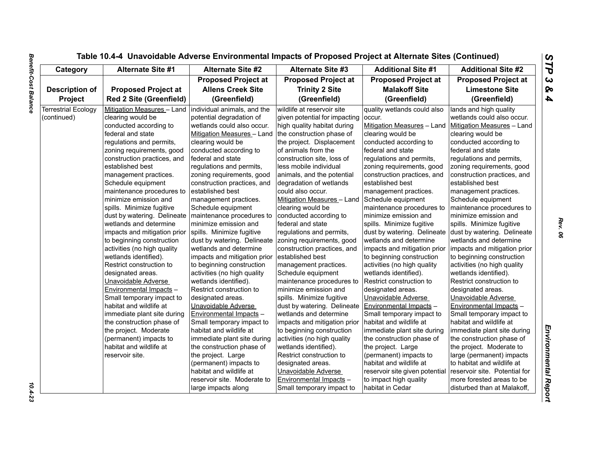| Category                   | <b>Alternate Site #1</b>                                 | <b>Alternate Site #2</b>       | <b>Alternate Site #3</b>      | <b>Additional Site #1</b>      | <b>Additional Site #2</b>     |
|----------------------------|----------------------------------------------------------|--------------------------------|-------------------------------|--------------------------------|-------------------------------|
|                            |                                                          | <b>Proposed Project at</b>     | <b>Proposed Project at</b>    | <b>Proposed Project at</b>     | <b>Proposed Project at</b>    |
| <b>Description of</b>      | <b>Proposed Project at</b>                               | <b>Allens Creek Site</b>       | <b>Trinity 2 Site</b>         | <b>Malakoff Site</b>           | <b>Limestone Site</b>         |
| <b>Project</b>             | <b>Red 2 Site (Greenfield)</b>                           | (Greenfield)                   | (Greenfield)                  | (Greenfield)                   | (Greenfield)                  |
| <b>Terrestrial Ecology</b> | Mitigation Measures - Land   individual animals, and the |                                | wildlife at reservoir site    | quality wetlands could also    | lands and high quality        |
| (continued)                | clearing would be                                        | potential degradation of       | given potential for impacting | occur.                         | wetlands could also occur.    |
|                            | conducted according to                                   | wetlands could also occur.     | high quality habitat during   | Mitigation Measures - Land     | Mitigation Measures - Land    |
|                            | federal and state                                        | Mitigation Measures - Land     | the construction phase of     | clearing would be              | clearing would be             |
|                            | regulations and permits,                                 | clearing would be              | the project. Displacement     | conducted according to         | conducted according to        |
|                            | zoning requirements, good                                | conducted according to         | of animals from the           | federal and state              | federal and state             |
|                            | construction practices, and                              | federal and state              | construction site, loss of    | regulations and permits,       | regulations and permits,      |
|                            | established best                                         | regulations and permits,       | less mobile individual        | zoning requirements, good      | zoning requirements, good     |
|                            | management practices.                                    | zoning requirements, good      | animals, and the potential    | construction practices, and    | construction practices, and   |
|                            | Schedule equipment                                       | construction practices, and    | degradation of wetlands       | established best               | established best              |
|                            | maintenance procedures to                                | established best               | could also occur.             | management practices.          | management practices.         |
|                            | minimize emission and                                    | management practices.          | Mitigation Measures - Land    | Schedule equipment             | Schedule equipment            |
|                            | spills. Minimize fugitive                                | Schedule equipment             | clearing would be             | maintenance procedures to      | maintenance procedures to     |
|                            | dust by watering. Delineate   maintenance procedures to  |                                | conducted according to        | minimize emission and          | minimize emission and         |
|                            | wetlands and determine                                   | minimize emission and          | federal and state             | spills. Minimize fugitive      | spills. Minimize fugitive     |
|                            | impacts and mitigation prior                             | spills. Minimize fugitive      | regulations and permits,      | dust by watering. Delineate    | dust by watering. Delineate   |
|                            | to beginning construction                                | dust by watering. Delineate    | zoning requirements, good     | wetlands and determine         | wetlands and determine        |
|                            | activities (no high quality                              | wetlands and determine         | construction practices, and   | impacts and mitigation prior   | impacts and mitigation prior  |
|                            | wetlands identified).                                    | impacts and mitigation prior   | established best              | to beginning construction      | to beginning construction     |
|                            | Restrict construction to                                 | to beginning construction      | management practices.         | activities (no high quality    | activities (no high quality   |
|                            | designated areas.                                        | activities (no high quality    | Schedule equipment            | wetlands identified).          | wetlands identified).         |
|                            | Unavoidable Adverse                                      | wetlands identified).          | maintenance procedures to     | Restrict construction to       | Restrict construction to      |
|                            | Environmental Impacts -                                  | Restrict construction to       | minimize emission and         | designated areas.              | designated areas.             |
|                            | Small temporary impact to                                | designated areas.              | spills. Minimize fugitive     | Unavoidable Adverse            | Unavoidable Adverse           |
|                            | habitat and wildlife at                                  | Unavoidable Adverse            | dust by watering. Delineate   | Environmental Impacts -        | Environmental Impacts -       |
|                            | immediate plant site during                              | <b>Environmental Impacts -</b> | wetlands and determine        | Small temporary impact to      | Small temporary impact to     |
|                            | the construction phase of                                | Small temporary impact to      | impacts and mitigation prior  | habitat and wildlife at        | habitat and wildlife at       |
|                            | the project. Moderate                                    | habitat and wildlife at        | to beginning construction     | immediate plant site during    | immediate plant site during   |
|                            | (permanent) impacts to                                   | immediate plant site during    | activities (no high quality   | the construction phase of      | the construction phase of     |
|                            | habitat and wildlife at                                  | the construction phase of      | wetlands identified).         | the project. Large             | the project. Moderate to      |
|                            | reservoir site.                                          | the project. Large             | Restrict construction to      | (permanent) impacts to         | large (permanent) impacts     |
|                            |                                                          | (permanent) impacts to         | designated areas.             | habitat and wildlife at        | to habitat and wildlife at    |
|                            |                                                          | habitat and wildlife at        | Unavoidable Adverse           | reservoir site given potential | reservoir site. Potential for |
|                            |                                                          | reservoir site. Moderate to    | Environmental Impacts -       | to impact high quality         | more forested areas to be     |
|                            |                                                          | large impacts along            | Small temporary impact to     | habitat in Cedar               | disturbed than at Malakoff,   |
|                            |                                                          |                                |                               |                                |                               |

 $10.4 - 23$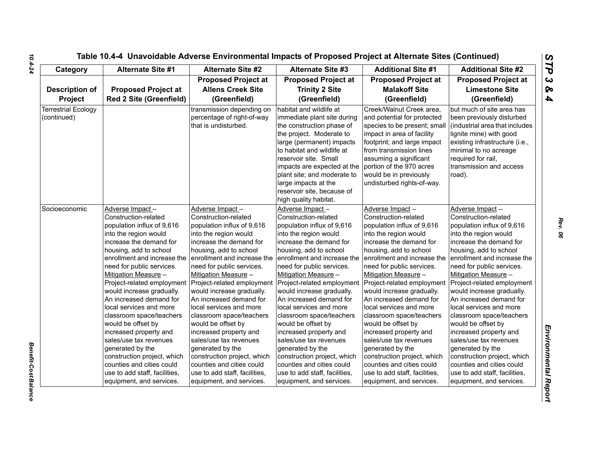| Socioeconomic | <u>Adverse Impa</u><br>Construction-<br>population inf<br>into the regior<br>increase the<br>housing, add<br>enrollment an<br>need for publ<br><b>Mitigation Me</b><br>Project-relate<br>would increas<br>An increased<br>local services<br>classroom sp<br>would be offs<br>increased pro<br>sales/use tax<br>generated by<br>construction p<br>counties and<br>use to add sta<br>equipment, a |
|---------------|-------------------------------------------------------------------------------------------------------------------------------------------------------------------------------------------------------------------------------------------------------------------------------------------------------------------------------------------------------------------------------------------------|

| Category                   | <b>Alternate Site #1</b>       | <b>Alternate Site #2</b>                           | <b>Alternate Site #3</b>                                                                                                                        | <b>Additional Site #1</b>                                                                                                                           | <b>Additional Site #2</b>                                                                                                                         |
|----------------------------|--------------------------------|----------------------------------------------------|-------------------------------------------------------------------------------------------------------------------------------------------------|-----------------------------------------------------------------------------------------------------------------------------------------------------|---------------------------------------------------------------------------------------------------------------------------------------------------|
|                            |                                | <b>Proposed Project at</b>                         | <b>Proposed Project at</b>                                                                                                                      | <b>Proposed Project at</b>                                                                                                                          | <b>Proposed Project at</b>                                                                                                                        |
| <b>Description of</b>      | <b>Proposed Project at</b>     | <b>Allens Creek Site</b>                           | <b>Trinity 2 Site</b>                                                                                                                           | <b>Malakoff Site</b>                                                                                                                                | <b>Limestone Site</b>                                                                                                                             |
| Project                    | <b>Red 2 Site (Greenfield)</b> | (Greenfield)                                       | (Greenfield)                                                                                                                                    | (Greenfield)                                                                                                                                        | (Greenfield)                                                                                                                                      |
| <b>Terrestrial Ecology</b> |                                | transmission depending on                          | habitat and wildlife at                                                                                                                         | Creek/Walnut Creek area,                                                                                                                            | but much of site area has                                                                                                                         |
| (continued)                |                                | percentage of right-of-way<br>that is undisturbed. | immediate plant site during<br>the construction phase of<br>the project. Moderate to<br>large (permanent) impacts<br>to habitat and wildlife at | and potential for protected<br>species to be present; small<br>impact in area of facility<br>footprint; and large impact<br>from transmission lines | been previously disturbed<br>(industrial area that includes<br>lignite mine) with good<br>existing infrastructure (i.e.,<br>minimal to no acreage |
|                            |                                |                                                    | reservoir site. Small<br>impacts are expected at the                                                                                            | assuming a significant<br>portion of the 970 acres                                                                                                  | required for rail,<br>transmission and access                                                                                                     |
|                            |                                |                                                    | plant site; and moderate to<br>large impacts at the                                                                                             | would be in previously<br>undisturbed rights-of-way.                                                                                                | road).                                                                                                                                            |
|                            |                                |                                                    | reservoir site, because of<br>high quality habitat.                                                                                             |                                                                                                                                                     |                                                                                                                                                   |
| Socioeconomic              | Adverse Impact-                | Adverse Impact-                                    | Adverse Impact-                                                                                                                                 | Adverse Impact-                                                                                                                                     | Adverse Impact-                                                                                                                                   |
|                            | Construction-related           | Construction-related                               | Construction-related                                                                                                                            | Construction-related                                                                                                                                | Construction-related                                                                                                                              |
|                            | population influx of 9,616     | population influx of 9,616                         | population influx of 9,616                                                                                                                      | population influx of 9,616                                                                                                                          | population influx of 9,616                                                                                                                        |
|                            | into the region would          | into the region would                              | into the region would                                                                                                                           | into the region would                                                                                                                               | into the region would                                                                                                                             |
|                            | increase the demand for        | increase the demand for                            | increase the demand for                                                                                                                         | increase the demand for                                                                                                                             | increase the demand for                                                                                                                           |
|                            | housing, add to school         | housing, add to school                             | housing, add to school                                                                                                                          | housing, add to school                                                                                                                              | housing, add to school                                                                                                                            |
|                            | enrollment and increase the    | enrollment and increase the                        | enrollment and increase the                                                                                                                     | enrollment and increase the                                                                                                                         | enrollment and increase the                                                                                                                       |
|                            | need for public services.      | need for public services.                          | need for public services.                                                                                                                       | need for public services.                                                                                                                           | need for public services.                                                                                                                         |
|                            | Mitigation Measure -           | Mitigation Measure -                               | Mitigation Measure -                                                                                                                            | Mitigation Measure -                                                                                                                                | Mitigation Measure -                                                                                                                              |
|                            | Project-related employment     | Project-related employment                         | Project-related employment                                                                                                                      | Project-related employment                                                                                                                          | Project-related employment                                                                                                                        |
|                            | would increase gradually.      | would increase gradually.                          | would increase gradually.                                                                                                                       | would increase gradually.                                                                                                                           | would increase gradually.                                                                                                                         |
|                            | An increased demand for        | An increased demand for                            | An increased demand for                                                                                                                         | An increased demand for                                                                                                                             | An increased demand for                                                                                                                           |
|                            | local services and more        | local services and more                            | local services and more                                                                                                                         | local services and more                                                                                                                             | local services and more                                                                                                                           |
|                            | classroom space/teachers       | classroom space/teachers                           | classroom space/teachers                                                                                                                        | classroom space/teachers                                                                                                                            | classroom space/teachers                                                                                                                          |
|                            | would be offset by             | would be offset by                                 | would be offset by                                                                                                                              | would be offset by                                                                                                                                  | would be offset by                                                                                                                                |
|                            | increased property and         | increased property and                             | increased property and                                                                                                                          | increased property and                                                                                                                              | increased property and                                                                                                                            |
|                            | sales/use tax revenues         | sales/use tax revenues                             | sales/use tax revenues                                                                                                                          | sales/use tax revenues                                                                                                                              | sales/use tax revenues                                                                                                                            |
|                            | generated by the               | generated by the                                   | generated by the                                                                                                                                | generated by the                                                                                                                                    | generated by the                                                                                                                                  |
|                            | construction project, which    | construction project, which                        | construction project, which                                                                                                                     | construction project, which                                                                                                                         | construction project, which                                                                                                                       |
|                            | counties and cities could      | counties and cities could                          | counties and cities could                                                                                                                       | counties and cities could                                                                                                                           | counties and cities could                                                                                                                         |
|                            | use to add staff, facilities,  | use to add staff, facilities,                      | use to add staff, facilities,                                                                                                                   | use to add staff, facilities,                                                                                                                       | use to add staff, facilities,                                                                                                                     |
|                            | equipment, and services.       | equipment, and services.                           | equipment, and services.                                                                                                                        | equipment, and services.                                                                                                                            | equipment, and services.                                                                                                                          |

**Benefit-Cost Balance**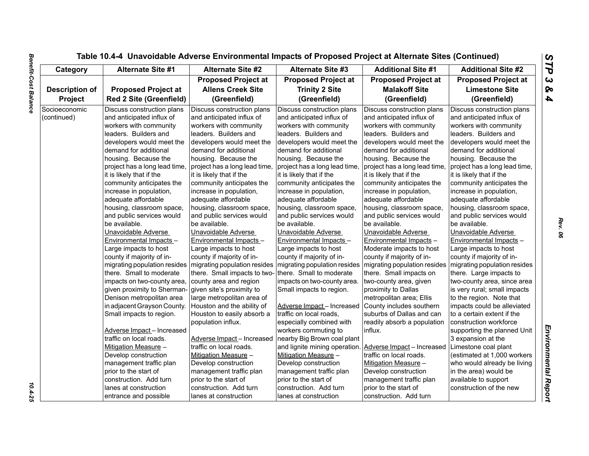|                       |                                |                               | Table 10.4-4 Unavoidable Adverse Environmental Impacts of Proposed Project at Alternate Sites (Continued) |                               |                               |
|-----------------------|--------------------------------|-------------------------------|-----------------------------------------------------------------------------------------------------------|-------------------------------|-------------------------------|
| Category              | Alternate Site #1              | <b>Alternate Site #2</b>      | <b>Alternate Site #3</b>                                                                                  | <b>Additional Site #1</b>     | <b>Additional Site #2</b>     |
|                       |                                | <b>Proposed Project at</b>    | <b>Proposed Project at</b>                                                                                | <b>Proposed Project at</b>    | <b>Proposed Project at</b>    |
| <b>Description of</b> | <b>Proposed Project at</b>     | <b>Allens Creek Site</b>      | <b>Trinity 2 Site</b>                                                                                     | <b>Malakoff Site</b>          | <b>Limestone Site</b>         |
| Project               | <b>Red 2 Site (Greenfield)</b> | (Greenfield)                  | (Greenfield)                                                                                              | (Greenfield)                  | (Greenfield)                  |
| Socioeconomic         | Discuss construction plans     | Discuss construction plans    | Discuss construction plans                                                                                | Discuss construction plans    | Discuss construction plans    |
| (continued)           | and anticipated influx of      | and anticipated influx of     | and anticipated influx of                                                                                 | and anticipated influx of     | and anticipated influx of     |
|                       | workers with community         | workers with community        | workers with community                                                                                    | workers with community        | workers with community        |
|                       | leaders. Builders and          | leaders. Builders and         | leaders. Builders and                                                                                     | leaders. Builders and         | leaders. Builders and         |
|                       | developers would meet the      | developers would meet the     | developers would meet the                                                                                 | developers would meet the     | developers would meet the     |
|                       | demand for additional          | demand for additional         | demand for additional                                                                                     | demand for additional         | demand for additional         |
|                       | housing. Because the           | housing. Because the          | housing. Because the                                                                                      | housing. Because the          | housing. Because the          |
|                       | project has a long lead time,  | project has a long lead time, | project has a long lead time,                                                                             | project has a long lead time, | project has a long lead time, |
|                       | it is likely that if the       | it is likely that if the      | it is likely that if the                                                                                  | it is likely that if the      | it is likely that if the      |
|                       | community anticipates the      | community anticipates the     | community anticipates the                                                                                 | community anticipates the     | community anticipates the     |
|                       | increase in population,        | increase in population,       | increase in population,                                                                                   | increase in population,       | increase in population,       |
|                       | adequate affordable            | adequate affordable           | adequate affordable                                                                                       | adequate affordable           | adequate affordable           |
|                       | housing, classroom space,      | housing, classroom space,     | housing, classroom space,                                                                                 | housing, classroom space,     | housing, classroom space,     |
|                       | and public services would      | and public services would     | and public services would                                                                                 | and public services would     | and public services would     |
|                       | be available.                  | be available.                 | be available.                                                                                             | be available.                 | be available.                 |
|                       | Unavoidable Adverse            | Unavoidable Adverse           | Unavoidable Adverse                                                                                       | Unavoidable Adverse           | Unavoidable Adverse           |
|                       | Environmental Impacts -        | Environmental Impacts -       | Environmental Impacts -                                                                                   | Environmental Impacts -       | Environmental Impacts -       |
|                       | Large impacts to host          | Large impacts to host         | Large impacts to host                                                                                     | Moderate impacts to host      | Large impacts to host         |
|                       | county if majority of in-      | county if majority of in-     | county if majority of in-                                                                                 | county if majority of in-     | county if majority of in-     |
|                       | migrating population resides   | migrating population resides  | migrating population resides                                                                              | migrating population resides  | migrating population resides  |
|                       | there. Small to moderate       | there. Small impacts to two-  | there. Small to moderate                                                                                  | there. Small impacts on       | there. Large impacts to       |
|                       | impacts on two-county area,    | county area and region        | impacts on two-county area.                                                                               | two-county area, given        | two-county area, since area   |
|                       | given proximity to Sherman-    | given site's proximity to     | Small impacts to region.                                                                                  | proximity to Dallas           | is very rural; small impacts  |
|                       | Denison metropolitan area      | large metropolitan area of    |                                                                                                           | metropolitan area; Ellis      | to the region. Note that      |
|                       | in adjacent Grayson County.    | Houston and the ability of    | Adverse Impact-Increased                                                                                  | County includes southern      | impacts could be alleviated   |
|                       | Small impacts to region.       | Houston to easily absorb a    | traffic on local roads,                                                                                   | suburbs of Dallas and can     | to a certain extent if the    |
|                       |                                | population influx.            | especially combined with                                                                                  | readily absorb a population   | construction workforce        |
|                       | Adverse Impact - Increased     |                               | workers commuting to                                                                                      | influx.                       | supporting the planned Unit   |
|                       | traffic on local roads.        | Adverse Impact - Increased    | nearby Big Brown coal plant                                                                               |                               | 3 expansion at the            |
|                       | Mitigation Measure -           | traffic on local roads.       | and lignite mining operation.                                                                             | Adverse Impact - Increased    | Limestone coal plant          |
|                       | Develop construction           | Mitigation Measure -          | Mitigation Measure -                                                                                      | traffic on local roads.       | (estimated at 1,000 workers   |
|                       | management traffic plan        | Develop construction          | Develop construction                                                                                      | Mitigation Measure -          | who would already be living   |
|                       | prior to the start of          | management traffic plan       | management traffic plan                                                                                   | Develop construction          | in the area) would be         |
|                       | construction. Add turn         | prior to the start of         | prior to the start of                                                                                     | management traffic plan       | available to support          |
|                       | lanes at construction          | construction. Add turn        | construction. Add turn                                                                                    | prior to the start of         | construction of the new       |
|                       | entrance and possible          | lanes at construction         | lanes at construction                                                                                     | construction. Add turn        |                               |

 $\frac{10.4 - 25}{10.4 - 25}$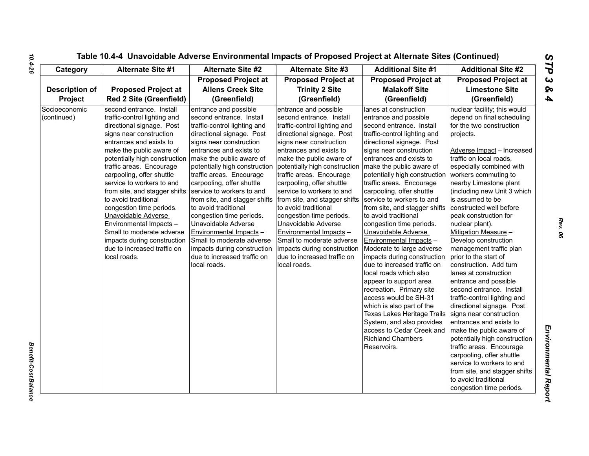| Category                     | <b>Alternate Site #1</b>                                                                                                                                                                                                                                                                                                                                                                                                                                                                                                                         | <b>Alternate Site #2</b>                                                                                                                                                                                                                                                                                                                                                                                                                                                                                                                                                  | <b>Alternate Site #3</b>                                                                                                                                                                                                                                                                                                                                                                                                                                                                                                                                                                             | <b>Additional Site #1</b>                                                                                                                                                                                                                                                                                                                                                                                                                                                                                                                                                                                                                                                                                                                                                                                                        | <b>Additional Site #2</b>                                                                                                                                                                                                                                                                                                                                                                                                                                                                                                                                                                                                                                                                                                                                                                                                                                                                                                                   |
|------------------------------|--------------------------------------------------------------------------------------------------------------------------------------------------------------------------------------------------------------------------------------------------------------------------------------------------------------------------------------------------------------------------------------------------------------------------------------------------------------------------------------------------------------------------------------------------|---------------------------------------------------------------------------------------------------------------------------------------------------------------------------------------------------------------------------------------------------------------------------------------------------------------------------------------------------------------------------------------------------------------------------------------------------------------------------------------------------------------------------------------------------------------------------|------------------------------------------------------------------------------------------------------------------------------------------------------------------------------------------------------------------------------------------------------------------------------------------------------------------------------------------------------------------------------------------------------------------------------------------------------------------------------------------------------------------------------------------------------------------------------------------------------|----------------------------------------------------------------------------------------------------------------------------------------------------------------------------------------------------------------------------------------------------------------------------------------------------------------------------------------------------------------------------------------------------------------------------------------------------------------------------------------------------------------------------------------------------------------------------------------------------------------------------------------------------------------------------------------------------------------------------------------------------------------------------------------------------------------------------------|---------------------------------------------------------------------------------------------------------------------------------------------------------------------------------------------------------------------------------------------------------------------------------------------------------------------------------------------------------------------------------------------------------------------------------------------------------------------------------------------------------------------------------------------------------------------------------------------------------------------------------------------------------------------------------------------------------------------------------------------------------------------------------------------------------------------------------------------------------------------------------------------------------------------------------------------|
|                              |                                                                                                                                                                                                                                                                                                                                                                                                                                                                                                                                                  | <b>Proposed Project at</b>                                                                                                                                                                                                                                                                                                                                                                                                                                                                                                                                                | <b>Proposed Project at</b>                                                                                                                                                                                                                                                                                                                                                                                                                                                                                                                                                                           | <b>Proposed Project at</b>                                                                                                                                                                                                                                                                                                                                                                                                                                                                                                                                                                                                                                                                                                                                                                                                       | <b>Proposed Project at</b>                                                                                                                                                                                                                                                                                                                                                                                                                                                                                                                                                                                                                                                                                                                                                                                                                                                                                                                  |
| <b>Description of</b>        | <b>Proposed Project at</b>                                                                                                                                                                                                                                                                                                                                                                                                                                                                                                                       | <b>Allens Creek Site</b>                                                                                                                                                                                                                                                                                                                                                                                                                                                                                                                                                  | <b>Trinity 2 Site</b>                                                                                                                                                                                                                                                                                                                                                                                                                                                                                                                                                                                | <b>Malakoff Site</b>                                                                                                                                                                                                                                                                                                                                                                                                                                                                                                                                                                                                                                                                                                                                                                                                             | <b>Limestone Site</b>                                                                                                                                                                                                                                                                                                                                                                                                                                                                                                                                                                                                                                                                                                                                                                                                                                                                                                                       |
| <b>Project</b>               | <b>Red 2 Site (Greenfield)</b>                                                                                                                                                                                                                                                                                                                                                                                                                                                                                                                   | (Greenfield)                                                                                                                                                                                                                                                                                                                                                                                                                                                                                                                                                              | (Greenfield)                                                                                                                                                                                                                                                                                                                                                                                                                                                                                                                                                                                         | (Greenfield)                                                                                                                                                                                                                                                                                                                                                                                                                                                                                                                                                                                                                                                                                                                                                                                                                     | (Greenfield)                                                                                                                                                                                                                                                                                                                                                                                                                                                                                                                                                                                                                                                                                                                                                                                                                                                                                                                                |
| Socioeconomic<br>(continued) | second entrance. Install<br>traffic-control lighting and<br>directional signage. Post<br>signs near construction<br>entrances and exists to<br>make the public aware of<br>potentially high construction<br>traffic areas. Encourage<br>carpooling, offer shuttle<br>service to workers to and<br>from site, and stagger shifts<br>to avoid traditional<br>congestion time periods.<br>Unavoidable Adverse<br>Environmental Impacts -<br>Small to moderate adverse<br>impacts during construction<br>due to increased traffic on<br>local roads. | entrance and possible<br>second entrance. Install<br>traffic-control lighting and<br>directional signage. Post<br>signs near construction<br>entrances and exists to<br>make the public aware of<br>potentially high construction<br>traffic areas. Encourage<br>carpooling, offer shuttle<br>service to workers to and<br>from site, and stagger shifts<br>to avoid traditional<br>congestion time periods.<br>Unavoidable Adverse<br>Environmental Impacts -<br>Small to moderate adverse<br>impacts during construction<br>due to increased traffic on<br>local roads. | entrance and possible<br>second entrance. Install<br>traffic-control lighting and<br>directional signage. Post<br>signs near construction<br>entrances and exists to<br>make the public aware of<br>potentially high construction   make the public aware of<br>traffic areas. Encourage<br>carpooling, offer shuttle<br>service to workers to and<br>from site, and stagger shifts<br>to avoid traditional<br>congestion time periods.<br>Unavoidable Adverse<br>Environmental Impacts -<br>Small to moderate adverse<br>impacts during construction<br>due to increased traffic on<br>local roads. | lanes at construction<br>entrance and possible<br>second entrance. Install<br>traffic-control lighting and<br>directional signage. Post<br>signs near construction<br>entrances and exists to<br>potentially high construction<br>traffic areas. Encourage<br>carpooling, offer shuttle<br>service to workers to and<br>from site, and stagger shifts<br>to avoid traditional<br>congestion time periods.<br>Unavoidable Adverse<br>Environmental Impacts -<br>Moderate to large adverse<br>impacts during construction<br>due to increased traffic on<br>local roads which also<br>appear to support area<br>recreation. Primary site<br>access would be SH-31<br>which is also part of the<br>Texas Lakes Heritage Trails<br>System, and also provides<br>access to Cedar Creek and<br><b>Richland Chambers</b><br>Reservoirs. | nuclear facility; this would<br>depend on final scheduling<br>for the two construction<br>projects.<br>Adverse Impact - Increased<br>traffic on local roads,<br>especially combined with<br>workers commuting to<br>nearby Limestone plant<br>(including new Unit 3 which<br>is assumed to be<br>constructed well before<br>peak construction for<br>nuclear plant).<br>Mitigation Measure -<br>Develop construction<br>management traffic plan<br>prior to the start of<br>construction. Add turn<br>lanes at construction<br>entrance and possible<br>second entrance. Install<br>traffic-control lighting and<br>directional signage. Post<br>signs near construction<br>entrances and exists to<br>make the public aware of<br>potentially high construction<br>traffic areas. Encourage<br>carpooling, offer shuttle<br>service to workers to and<br>from site, and stagger shifts<br>to avoid traditional<br>congestion time periods. |

**Benefit-Cost Balance** 

*Rev. 06*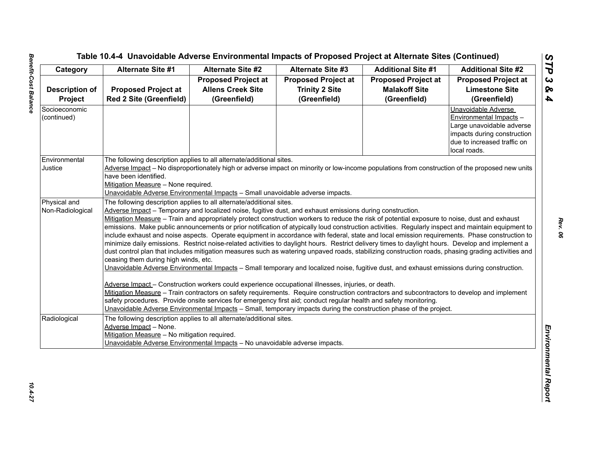|                       | Alternate Site #1                                                                                                                                  | <b>Alternate Site #2</b>                                                       | <b>Alternate Site #3</b>                                                                                           | <b>Additional Site #1</b>  | <b>Additional Site #2</b>   |  |  |
|-----------------------|----------------------------------------------------------------------------------------------------------------------------------------------------|--------------------------------------------------------------------------------|--------------------------------------------------------------------------------------------------------------------|----------------------------|-----------------------------|--|--|
|                       |                                                                                                                                                    | <b>Proposed Project at</b>                                                     | <b>Proposed Project at</b>                                                                                         | <b>Proposed Project at</b> | <b>Proposed Project at</b>  |  |  |
| <b>Description of</b> | <b>Proposed Project at</b>                                                                                                                         | <b>Allens Creek Site</b>                                                       | <b>Trinity 2 Site</b>                                                                                              | <b>Malakoff Site</b>       | <b>Limestone Site</b>       |  |  |
| Project               | Red 2 Site (Greenfield)                                                                                                                            | (Greenfield)                                                                   | (Greenfield)                                                                                                       | (Greenfield)               | (Greenfield)                |  |  |
| Socioeconomic         |                                                                                                                                                    |                                                                                |                                                                                                                    |                            | Unavoidable Adverse         |  |  |
| (continued)           |                                                                                                                                                    |                                                                                |                                                                                                                    |                            | Environmental Impacts -     |  |  |
|                       |                                                                                                                                                    |                                                                                |                                                                                                                    |                            | Large unavoidable adverse   |  |  |
|                       |                                                                                                                                                    |                                                                                |                                                                                                                    |                            | impacts during construction |  |  |
|                       |                                                                                                                                                    |                                                                                |                                                                                                                    |                            | due to increased traffic on |  |  |
|                       |                                                                                                                                                    |                                                                                |                                                                                                                    |                            | local roads.                |  |  |
| Environmental         | The following description applies to all alternate/additional sites.                                                                               |                                                                                |                                                                                                                    |                            |                             |  |  |
| Justice               | Adverse Impact - No disproportionately high or adverse impact on minority or low-income populations from construction of the proposed new units    |                                                                                |                                                                                                                    |                            |                             |  |  |
|                       | have been identified.                                                                                                                              |                                                                                |                                                                                                                    |                            |                             |  |  |
|                       | Mitigation Measure - None required.                                                                                                                |                                                                                |                                                                                                                    |                            |                             |  |  |
|                       |                                                                                                                                                    | Unavoidable Adverse Environmental Impacts - Small unavoidable adverse impacts. |                                                                                                                    |                            |                             |  |  |
| Physical and          | The following description applies to all alternate/additional sites.                                                                               |                                                                                |                                                                                                                    |                            |                             |  |  |
| Non-Radiological      | Adverse Impact – Temporary and localized noise, fugitive dust, and exhaust emissions during construction.                                          |                                                                                |                                                                                                                    |                            |                             |  |  |
|                       | Mitigation Measure - Train and appropriately protect construction workers to reduce the risk of potential exposure to noise, dust and exhaust      |                                                                                |                                                                                                                    |                            |                             |  |  |
|                       | emissions. Make public announcements or prior notification of atypically loud construction activities. Regularly inspect and maintain equipment to |                                                                                |                                                                                                                    |                            |                             |  |  |
|                       | include exhaust and noise aspects. Operate equipment in accordance with federal, state and local emission requirements. Phase construction to      |                                                                                |                                                                                                                    |                            |                             |  |  |
|                       | minimize daily emissions. Restrict noise-related activities to daylight hours. Restrict delivery times to daylight hours. Develop and implement a  |                                                                                |                                                                                                                    |                            |                             |  |  |
|                       | dust control plan that includes mitigation measures such as watering unpaved roads, stabilizing construction roads, phasing grading activities and |                                                                                |                                                                                                                    |                            |                             |  |  |
|                       | ceasing them during high winds, etc.                                                                                                               |                                                                                |                                                                                                                    |                            |                             |  |  |
|                       | Unavoidable Adverse Environmental Impacts - Small temporary and localized noise, fugitive dust, and exhaust emissions during construction.         |                                                                                |                                                                                                                    |                            |                             |  |  |
|                       | Adverse Impact - Construction workers could experience occupational illnesses, injuries, or death.                                                 |                                                                                |                                                                                                                    |                            |                             |  |  |
|                       |                                                                                                                                                    |                                                                                |                                                                                                                    |                            |                             |  |  |
|                       | Mitigation Measure - Train contractors on safety requirements. Require construction contractors and subcontractors to develop and implement        |                                                                                |                                                                                                                    |                            |                             |  |  |
|                       |                                                                                                                                                    |                                                                                | safety procedures. Provide onsite services for emergency first aid; conduct regular health and safety monitoring.  |                            |                             |  |  |
|                       |                                                                                                                                                    |                                                                                | Unavoidable Adverse Environmental Impacts - Small, temporary impacts during the construction phase of the project. |                            |                             |  |  |
| Radiological          | The following description applies to all alternate/additional sites.                                                                               |                                                                                |                                                                                                                    |                            |                             |  |  |
|                       | Adverse Impact - None.                                                                                                                             |                                                                                |                                                                                                                    |                            |                             |  |  |
|                       | Mitigation Measure - No mitigation required.                                                                                                       |                                                                                |                                                                                                                    |                            |                             |  |  |
|                       |                                                                                                                                                    | Unavoidable Adverse Environmental Impacts - No unavoidable adverse impacts.    |                                                                                                                    |                            |                             |  |  |
|                       |                                                                                                                                                    |                                                                                |                                                                                                                    |                            |                             |  |  |
|                       |                                                                                                                                                    |                                                                                |                                                                                                                    |                            |                             |  |  |
|                       |                                                                                                                                                    |                                                                                |                                                                                                                    |                            |                             |  |  |
|                       |                                                                                                                                                    |                                                                                |                                                                                                                    |                            |                             |  |  |
|                       |                                                                                                                                                    |                                                                                |                                                                                                                    |                            |                             |  |  |
|                       |                                                                                                                                                    |                                                                                |                                                                                                                    |                            |                             |  |  |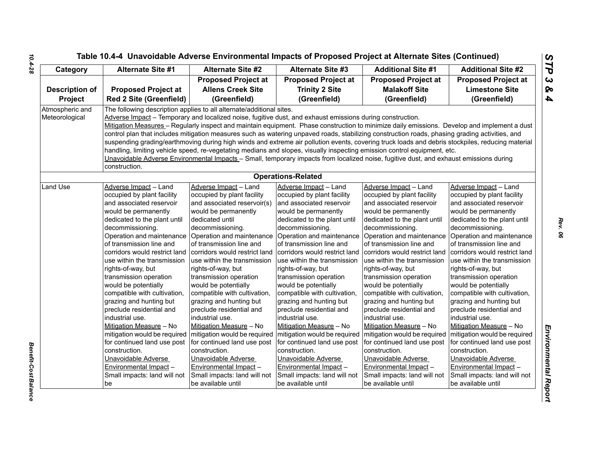| Category        | <b>Alternate Site #1</b>                          | Alternate Site #2                                                                                                                      | <b>Alternate Site #3</b>                                                                                  | <b>Additional Site #1</b>                                                                                                                        | <b>Additional Site #2</b>                         |  |  |  |
|-----------------|---------------------------------------------------|----------------------------------------------------------------------------------------------------------------------------------------|-----------------------------------------------------------------------------------------------------------|--------------------------------------------------------------------------------------------------------------------------------------------------|---------------------------------------------------|--|--|--|
|                 |                                                   | <b>Proposed Project at</b>                                                                                                             | <b>Proposed Project at</b>                                                                                | <b>Proposed Project at</b>                                                                                                                       | <b>Proposed Project at</b>                        |  |  |  |
| Description of  | <b>Proposed Project at</b>                        | <b>Allens Creek Site</b>                                                                                                               | <b>Trinity 2 Site</b>                                                                                     | <b>Malakoff Site</b>                                                                                                                             | <b>Limestone Site</b>                             |  |  |  |
| Project         | <b>Red 2 Site (Greenfield)</b>                    | (Greenfield)                                                                                                                           | (Greenfield)                                                                                              | (Greenfield)                                                                                                                                     | (Greenfield)                                      |  |  |  |
| Atmospheric and |                                                   | The following description applies to all alternate/additional sites.                                                                   |                                                                                                           |                                                                                                                                                  |                                                   |  |  |  |
| Meteorological  |                                                   |                                                                                                                                        | Adverse Impact - Temporary and localized noise, fugitive dust, and exhaust emissions during construction. |                                                                                                                                                  |                                                   |  |  |  |
|                 |                                                   |                                                                                                                                        |                                                                                                           | Mitigation Measures - Regularly inspect and maintain equipment. Phase construction to minimize daily emissions. Develop and implement a dust     |                                                   |  |  |  |
|                 |                                                   |                                                                                                                                        |                                                                                                           | control plan that includes mitigation measures such as watering unpaved roads, stabilizing construction roads, phasing grading activities, and   |                                                   |  |  |  |
|                 |                                                   |                                                                                                                                        |                                                                                                           | suspending grading/earthmoving during high winds and extreme air pollution events, covering truck loads and debris stockpiles, reducing material |                                                   |  |  |  |
|                 |                                                   |                                                                                                                                        |                                                                                                           | handling, limiting vehicle speed, re-vegetating medians and slopes, visually inspecting emission control equipment, etc.                         |                                                   |  |  |  |
|                 |                                                   | Unavoidable Adverse Environmental Impacts - Small, temporary impacts from localized noise, fugitive dust, and exhaust emissions during |                                                                                                           |                                                                                                                                                  |                                                   |  |  |  |
|                 | construction.                                     |                                                                                                                                        |                                                                                                           |                                                                                                                                                  |                                                   |  |  |  |
|                 |                                                   |                                                                                                                                        | <b>Operations-Related</b>                                                                                 |                                                                                                                                                  |                                                   |  |  |  |
| Land Use        | Adverse Impact - Land                             | Adverse Impact - Land                                                                                                                  | Adverse Impact - Land                                                                                     | Adverse Impact - Land                                                                                                                            | Adverse Impact - Land                             |  |  |  |
|                 | occupied by plant facility                        | occupied by plant facility                                                                                                             | occupied by plant facility                                                                                | occupied by plant facility                                                                                                                       | occupied by plant facility                        |  |  |  |
|                 | and associated reservoir                          | and associated reservoir(s)                                                                                                            | and associated reservoir                                                                                  | and associated reservoir                                                                                                                         | and associated reservoir                          |  |  |  |
|                 | would be permanently                              | would be permanently                                                                                                                   | would be permanently                                                                                      | would be permanently                                                                                                                             | would be permanently                              |  |  |  |
|                 | dedicated to the plant until                      | dedicated until                                                                                                                        | dedicated to the plant until                                                                              | dedicated to the plant until                                                                                                                     | dedicated to the plant until                      |  |  |  |
|                 | decommissioning.                                  | decommissioning.                                                                                                                       | decommissioning.                                                                                          | decommissioning.                                                                                                                                 | decommissioning.                                  |  |  |  |
|                 | Operation and maintenance                         | Operation and maintenance                                                                                                              |                                                                                                           | Operation and maintenance   Operation and maintenance                                                                                            | Operation and maintenance                         |  |  |  |
|                 | of transmission line and                          | of transmission line and                                                                                                               | of transmission line and                                                                                  | of transmission line and                                                                                                                         | of transmission line and                          |  |  |  |
|                 | corridors would restrict land                     | corridors would restrict land                                                                                                          | corridors would restrict land                                                                             | corridors would restrict land                                                                                                                    | corridors would restrict land                     |  |  |  |
|                 | use within the transmission<br>rights-of-way, but | use within the transmission<br>rights-of-way, but                                                                                      | use within the transmission<br>rights-of-way, but                                                         | use within the transmission                                                                                                                      | use within the transmission<br>rights-of-way, but |  |  |  |
|                 | transmission operation                            | transmission operation                                                                                                                 | transmission operation                                                                                    | rights-of-way, but<br>transmission operation                                                                                                     | transmission operation                            |  |  |  |
|                 | would be potentially                              | would be potentially                                                                                                                   | would be potentially                                                                                      | would be potentially                                                                                                                             | would be potentially                              |  |  |  |
|                 | compatible with cultivation,                      | compatible with cultivation,                                                                                                           | compatible with cultivation,                                                                              | compatible with cultivation,                                                                                                                     | compatible with cultivation,                      |  |  |  |
|                 | grazing and hunting but                           | grazing and hunting but                                                                                                                | grazing and hunting but                                                                                   | grazing and hunting but                                                                                                                          | grazing and hunting but                           |  |  |  |
|                 | preclude residential and                          | preclude residential and                                                                                                               | preclude residential and                                                                                  | preclude residential and                                                                                                                         | preclude residential and                          |  |  |  |
|                 | industrial use.                                   | industrial use.                                                                                                                        | industrial use.                                                                                           | industrial use.                                                                                                                                  | industrial use.                                   |  |  |  |
|                 | Mitigation Measure - No                           | Mitigation Measure - No                                                                                                                | Mitigation Measure - No                                                                                   | Mitigation Measure - No                                                                                                                          | Mitigation Measure - No                           |  |  |  |
|                 | mitigation would be required                      | mitigation would be required                                                                                                           | mitigation would be required                                                                              | mitigation would be required                                                                                                                     | mitigation would be required                      |  |  |  |
|                 | for continued land use post                       | for continued land use post                                                                                                            | for continued land use post                                                                               | for continued land use post                                                                                                                      | for continued land use post                       |  |  |  |
|                 | construction.                                     | construction.                                                                                                                          | construction.                                                                                             | construction.                                                                                                                                    | construction.                                     |  |  |  |
|                 | Unavoidable Adverse                               | Unavoidable Adverse                                                                                                                    | Unavoidable Adverse                                                                                       | Unavoidable Adverse                                                                                                                              | Unavoidable Adverse                               |  |  |  |
|                 | Environmental Impact-                             | Environmental Impact -                                                                                                                 | Environmental Impact -                                                                                    | Environmental Impact-                                                                                                                            | Environmental Impact -                            |  |  |  |
|                 | Small impacts: land will not                      | Small impacts: land will not                                                                                                           | Small impacts: land will not                                                                              | Small impacts: land will not                                                                                                                     | Small impacts: land will not                      |  |  |  |
|                 | be                                                | be available until                                                                                                                     | be available until                                                                                        | be available until                                                                                                                               | be available until                                |  |  |  |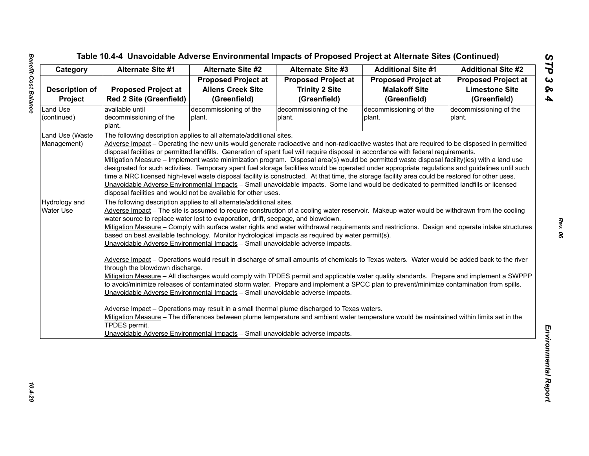| <b>Proposed Project at</b><br><b>Red 2 Site (Greenfield)</b><br>available until<br>decommissioning of the<br>plant. | <b>Proposed Project at</b><br><b>Allens Creek Site</b><br>(Greenfield)<br>decommissioning of the<br>plant. | <b>Proposed Project at</b><br><b>Trinity 2 Site</b><br>(Greenfield)<br>decommissioning of the                                                | <b>Proposed Project at</b><br><b>Malakoff Site</b><br>(Greenfield)<br>decommissioning of the                                                                                                                                                                                                                                                                                                   | <b>Proposed Project at</b><br><b>Limestone Site</b><br>(Greenfield)<br>decommissioning of the                                                                                                                                                                                                                                                                                                                                                                                                                                                                                                                                                                                                                                                                                                                                                                                                                                                                                                                                                                                                                                                                                                                                                                                                                                                                                                                                                                                                                                                                                                                                                                                                                                                                                                                                                                                                                   |
|---------------------------------------------------------------------------------------------------------------------|------------------------------------------------------------------------------------------------------------|----------------------------------------------------------------------------------------------------------------------------------------------|------------------------------------------------------------------------------------------------------------------------------------------------------------------------------------------------------------------------------------------------------------------------------------------------------------------------------------------------------------------------------------------------|-----------------------------------------------------------------------------------------------------------------------------------------------------------------------------------------------------------------------------------------------------------------------------------------------------------------------------------------------------------------------------------------------------------------------------------------------------------------------------------------------------------------------------------------------------------------------------------------------------------------------------------------------------------------------------------------------------------------------------------------------------------------------------------------------------------------------------------------------------------------------------------------------------------------------------------------------------------------------------------------------------------------------------------------------------------------------------------------------------------------------------------------------------------------------------------------------------------------------------------------------------------------------------------------------------------------------------------------------------------------------------------------------------------------------------------------------------------------------------------------------------------------------------------------------------------------------------------------------------------------------------------------------------------------------------------------------------------------------------------------------------------------------------------------------------------------------------------------------------------------------------------------------------------------|
|                                                                                                                     |                                                                                                            |                                                                                                                                              |                                                                                                                                                                                                                                                                                                                                                                                                |                                                                                                                                                                                                                                                                                                                                                                                                                                                                                                                                                                                                                                                                                                                                                                                                                                                                                                                                                                                                                                                                                                                                                                                                                                                                                                                                                                                                                                                                                                                                                                                                                                                                                                                                                                                                                                                                                                                 |
|                                                                                                                     |                                                                                                            |                                                                                                                                              |                                                                                                                                                                                                                                                                                                                                                                                                |                                                                                                                                                                                                                                                                                                                                                                                                                                                                                                                                                                                                                                                                                                                                                                                                                                                                                                                                                                                                                                                                                                                                                                                                                                                                                                                                                                                                                                                                                                                                                                                                                                                                                                                                                                                                                                                                                                                 |
|                                                                                                                     |                                                                                                            |                                                                                                                                              |                                                                                                                                                                                                                                                                                                                                                                                                |                                                                                                                                                                                                                                                                                                                                                                                                                                                                                                                                                                                                                                                                                                                                                                                                                                                                                                                                                                                                                                                                                                                                                                                                                                                                                                                                                                                                                                                                                                                                                                                                                                                                                                                                                                                                                                                                                                                 |
|                                                                                                                     |                                                                                                            |                                                                                                                                              |                                                                                                                                                                                                                                                                                                                                                                                                |                                                                                                                                                                                                                                                                                                                                                                                                                                                                                                                                                                                                                                                                                                                                                                                                                                                                                                                                                                                                                                                                                                                                                                                                                                                                                                                                                                                                                                                                                                                                                                                                                                                                                                                                                                                                                                                                                                                 |
|                                                                                                                     |                                                                                                            | plant.                                                                                                                                       | plant.                                                                                                                                                                                                                                                                                                                                                                                         | plant.                                                                                                                                                                                                                                                                                                                                                                                                                                                                                                                                                                                                                                                                                                                                                                                                                                                                                                                                                                                                                                                                                                                                                                                                                                                                                                                                                                                                                                                                                                                                                                                                                                                                                                                                                                                                                                                                                                          |
|                                                                                                                     |                                                                                                            |                                                                                                                                              |                                                                                                                                                                                                                                                                                                                                                                                                |                                                                                                                                                                                                                                                                                                                                                                                                                                                                                                                                                                                                                                                                                                                                                                                                                                                                                                                                                                                                                                                                                                                                                                                                                                                                                                                                                                                                                                                                                                                                                                                                                                                                                                                                                                                                                                                                                                                 |
|                                                                                                                     | The following description applies to all alternate/additional sites.                                       |                                                                                                                                              |                                                                                                                                                                                                                                                                                                                                                                                                |                                                                                                                                                                                                                                                                                                                                                                                                                                                                                                                                                                                                                                                                                                                                                                                                                                                                                                                                                                                                                                                                                                                                                                                                                                                                                                                                                                                                                                                                                                                                                                                                                                                                                                                                                                                                                                                                                                                 |
|                                                                                                                     |                                                                                                            | Adverse Impact - Operating the new units would generate radioactive and non-radioactive wastes that are required to be disposed in permitted |                                                                                                                                                                                                                                                                                                                                                                                                |                                                                                                                                                                                                                                                                                                                                                                                                                                                                                                                                                                                                                                                                                                                                                                                                                                                                                                                                                                                                                                                                                                                                                                                                                                                                                                                                                                                                                                                                                                                                                                                                                                                                                                                                                                                                                                                                                                                 |
|                                                                                                                     |                                                                                                            |                                                                                                                                              |                                                                                                                                                                                                                                                                                                                                                                                                |                                                                                                                                                                                                                                                                                                                                                                                                                                                                                                                                                                                                                                                                                                                                                                                                                                                                                                                                                                                                                                                                                                                                                                                                                                                                                                                                                                                                                                                                                                                                                                                                                                                                                                                                                                                                                                                                                                                 |
|                                                                                                                     |                                                                                                            |                                                                                                                                              |                                                                                                                                                                                                                                                                                                                                                                                                |                                                                                                                                                                                                                                                                                                                                                                                                                                                                                                                                                                                                                                                                                                                                                                                                                                                                                                                                                                                                                                                                                                                                                                                                                                                                                                                                                                                                                                                                                                                                                                                                                                                                                                                                                                                                                                                                                                                 |
|                                                                                                                     |                                                                                                            |                                                                                                                                              |                                                                                                                                                                                                                                                                                                                                                                                                |                                                                                                                                                                                                                                                                                                                                                                                                                                                                                                                                                                                                                                                                                                                                                                                                                                                                                                                                                                                                                                                                                                                                                                                                                                                                                                                                                                                                                                                                                                                                                                                                                                                                                                                                                                                                                                                                                                                 |
|                                                                                                                     |                                                                                                            |                                                                                                                                              |                                                                                                                                                                                                                                                                                                                                                                                                |                                                                                                                                                                                                                                                                                                                                                                                                                                                                                                                                                                                                                                                                                                                                                                                                                                                                                                                                                                                                                                                                                                                                                                                                                                                                                                                                                                                                                                                                                                                                                                                                                                                                                                                                                                                                                                                                                                                 |
|                                                                                                                     |                                                                                                            |                                                                                                                                              |                                                                                                                                                                                                                                                                                                                                                                                                |                                                                                                                                                                                                                                                                                                                                                                                                                                                                                                                                                                                                                                                                                                                                                                                                                                                                                                                                                                                                                                                                                                                                                                                                                                                                                                                                                                                                                                                                                                                                                                                                                                                                                                                                                                                                                                                                                                                 |
|                                                                                                                     |                                                                                                            |                                                                                                                                              |                                                                                                                                                                                                                                                                                                                                                                                                |                                                                                                                                                                                                                                                                                                                                                                                                                                                                                                                                                                                                                                                                                                                                                                                                                                                                                                                                                                                                                                                                                                                                                                                                                                                                                                                                                                                                                                                                                                                                                                                                                                                                                                                                                                                                                                                                                                                 |
|                                                                                                                     |                                                                                                            |                                                                                                                                              |                                                                                                                                                                                                                                                                                                                                                                                                |                                                                                                                                                                                                                                                                                                                                                                                                                                                                                                                                                                                                                                                                                                                                                                                                                                                                                                                                                                                                                                                                                                                                                                                                                                                                                                                                                                                                                                                                                                                                                                                                                                                                                                                                                                                                                                                                                                                 |
|                                                                                                                     |                                                                                                            |                                                                                                                                              |                                                                                                                                                                                                                                                                                                                                                                                                |                                                                                                                                                                                                                                                                                                                                                                                                                                                                                                                                                                                                                                                                                                                                                                                                                                                                                                                                                                                                                                                                                                                                                                                                                                                                                                                                                                                                                                                                                                                                                                                                                                                                                                                                                                                                                                                                                                                 |
|                                                                                                                     |                                                                                                            |                                                                                                                                              |                                                                                                                                                                                                                                                                                                                                                                                                |                                                                                                                                                                                                                                                                                                                                                                                                                                                                                                                                                                                                                                                                                                                                                                                                                                                                                                                                                                                                                                                                                                                                                                                                                                                                                                                                                                                                                                                                                                                                                                                                                                                                                                                                                                                                                                                                                                                 |
|                                                                                                                     |                                                                                                            |                                                                                                                                              |                                                                                                                                                                                                                                                                                                                                                                                                |                                                                                                                                                                                                                                                                                                                                                                                                                                                                                                                                                                                                                                                                                                                                                                                                                                                                                                                                                                                                                                                                                                                                                                                                                                                                                                                                                                                                                                                                                                                                                                                                                                                                                                                                                                                                                                                                                                                 |
|                                                                                                                     |                                                                                                            |                                                                                                                                              |                                                                                                                                                                                                                                                                                                                                                                                                |                                                                                                                                                                                                                                                                                                                                                                                                                                                                                                                                                                                                                                                                                                                                                                                                                                                                                                                                                                                                                                                                                                                                                                                                                                                                                                                                                                                                                                                                                                                                                                                                                                                                                                                                                                                                                                                                                                                 |
|                                                                                                                     |                                                                                                            |                                                                                                                                              |                                                                                                                                                                                                                                                                                                                                                                                                |                                                                                                                                                                                                                                                                                                                                                                                                                                                                                                                                                                                                                                                                                                                                                                                                                                                                                                                                                                                                                                                                                                                                                                                                                                                                                                                                                                                                                                                                                                                                                                                                                                                                                                                                                                                                                                                                                                                 |
|                                                                                                                     |                                                                                                            |                                                                                                                                              |                                                                                                                                                                                                                                                                                                                                                                                                |                                                                                                                                                                                                                                                                                                                                                                                                                                                                                                                                                                                                                                                                                                                                                                                                                                                                                                                                                                                                                                                                                                                                                                                                                                                                                                                                                                                                                                                                                                                                                                                                                                                                                                                                                                                                                                                                                                                 |
|                                                                                                                     |                                                                                                            |                                                                                                                                              |                                                                                                                                                                                                                                                                                                                                                                                                |                                                                                                                                                                                                                                                                                                                                                                                                                                                                                                                                                                                                                                                                                                                                                                                                                                                                                                                                                                                                                                                                                                                                                                                                                                                                                                                                                                                                                                                                                                                                                                                                                                                                                                                                                                                                                                                                                                                 |
|                                                                                                                     |                                                                                                            |                                                                                                                                              |                                                                                                                                                                                                                                                                                                                                                                                                |                                                                                                                                                                                                                                                                                                                                                                                                                                                                                                                                                                                                                                                                                                                                                                                                                                                                                                                                                                                                                                                                                                                                                                                                                                                                                                                                                                                                                                                                                                                                                                                                                                                                                                                                                                                                                                                                                                                 |
|                                                                                                                     |                                                                                                            |                                                                                                                                              |                                                                                                                                                                                                                                                                                                                                                                                                |                                                                                                                                                                                                                                                                                                                                                                                                                                                                                                                                                                                                                                                                                                                                                                                                                                                                                                                                                                                                                                                                                                                                                                                                                                                                                                                                                                                                                                                                                                                                                                                                                                                                                                                                                                                                                                                                                                                 |
|                                                                                                                     |                                                                                                            |                                                                                                                                              |                                                                                                                                                                                                                                                                                                                                                                                                |                                                                                                                                                                                                                                                                                                                                                                                                                                                                                                                                                                                                                                                                                                                                                                                                                                                                                                                                                                                                                                                                                                                                                                                                                                                                                                                                                                                                                                                                                                                                                                                                                                                                                                                                                                                                                                                                                                                 |
|                                                                                                                     |                                                                                                            |                                                                                                                                              |                                                                                                                                                                                                                                                                                                                                                                                                |                                                                                                                                                                                                                                                                                                                                                                                                                                                                                                                                                                                                                                                                                                                                                                                                                                                                                                                                                                                                                                                                                                                                                                                                                                                                                                                                                                                                                                                                                                                                                                                                                                                                                                                                                                                                                                                                                                                 |
|                                                                                                                     |                                                                                                            |                                                                                                                                              |                                                                                                                                                                                                                                                                                                                                                                                                |                                                                                                                                                                                                                                                                                                                                                                                                                                                                                                                                                                                                                                                                                                                                                                                                                                                                                                                                                                                                                                                                                                                                                                                                                                                                                                                                                                                                                                                                                                                                                                                                                                                                                                                                                                                                                                                                                                                 |
| TPDES permit.                                                                                                       |                                                                                                            |                                                                                                                                              |                                                                                                                                                                                                                                                                                                                                                                                                |                                                                                                                                                                                                                                                                                                                                                                                                                                                                                                                                                                                                                                                                                                                                                                                                                                                                                                                                                                                                                                                                                                                                                                                                                                                                                                                                                                                                                                                                                                                                                                                                                                                                                                                                                                                                                                                                                                                 |
|                                                                                                                     |                                                                                                            |                                                                                                                                              |                                                                                                                                                                                                                                                                                                                                                                                                |                                                                                                                                                                                                                                                                                                                                                                                                                                                                                                                                                                                                                                                                                                                                                                                                                                                                                                                                                                                                                                                                                                                                                                                                                                                                                                                                                                                                                                                                                                                                                                                                                                                                                                                                                                                                                                                                                                                 |
|                                                                                                                     |                                                                                                            | through the blowdown discharge.                                                                                                              | disposal facilities and would not be available for other uses.<br>The following description applies to all alternate/additional sites.<br>water source to replace water lost to evaporation, drift, seepage, and blowdown.<br>Unavoidable Adverse Environmental Impacts - Small unavoidable adverse impacts.<br>Unavoidable Adverse Environmental Impacts - Small unavoidable adverse impacts. | disposal facilities or permitted landfills. Generation of spent fuel will require disposal in accordance with federal requirements.<br>Mitigation Measure - Implement waste minimization program. Disposal area(s) would be permitted waste disposal facility(ies) with a land use<br>designated for such activities. Temporary spent fuel storage facilities would be operated under appropriate regulations and guidelines until such<br>time a NRC licensed high-level waste disposal facility is constructed. At that time, the storage facility area could be restored for other uses.<br>Unavoidable Adverse Environmental Impacts - Small unavoidable impacts. Some land would be dedicated to permitted landfills or licensed<br>Adverse Impact - The site is assumed to require construction of a cooling water reservoir. Makeup water would be withdrawn from the cooling<br>Mitigation Measure - Comply with surface water rights and water withdrawal requirements and restrictions. Design and operate intake structures<br>based on best available technology. Monitor hydrological impacts as required by water permit(s).<br>Adverse Impact - Operations would result in discharge of small amounts of chemicals to Texas waters. Water would be added back to the river<br>Mitigation Measure - All discharges would comply with TPDES permit and applicable water quality standards. Prepare and implement a SWPPP<br>to avoid/minimize releases of contaminated storm water. Prepare and implement a SPCC plan to prevent/minimize contamination from spills.<br>Adverse Impact - Operations may result in a small thermal plume discharged to Texas waters.<br>Mitigation Measure - The differences between plume temperature and ambient water temperature would be maintained within limits set in the<br>Unavoidable Adverse Environmental Impacts - Small unavoidable adverse impacts. |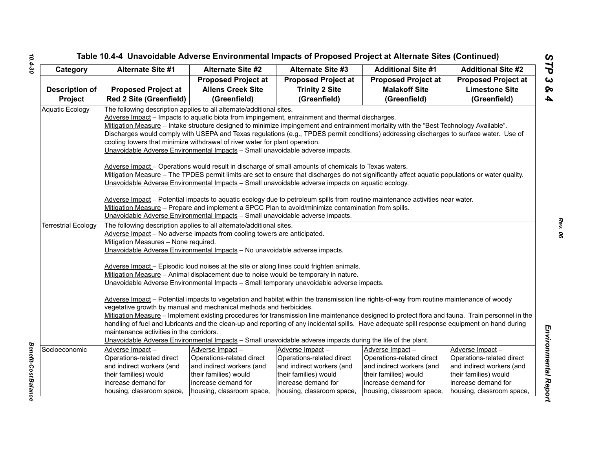# *STP 3 & 4* Tenetial Case of University Contribution and the Case of Proposed Project at Alternation Since 2<br>
Case of Alternation Since 2<br>
Case of Alternation Since 2<br>
Case of Alternation Since 2<br>
Case of Alternation Since 2<br>
Concerns

Benefit-Cost Balance *Benefit-Cost Balance*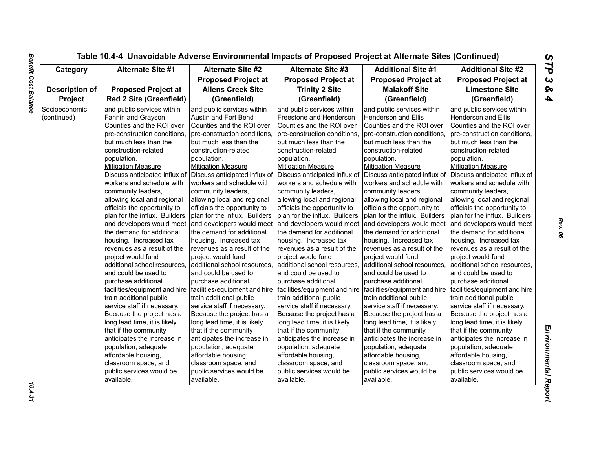| Category              | <b>Alternate Site #1</b>       | <b>Alternate Site #2</b>                                                                      | <b>Alternate Site #3</b>      | <b>Additional Site #1</b>     | <b>Additional Site #2</b>     |
|-----------------------|--------------------------------|-----------------------------------------------------------------------------------------------|-------------------------------|-------------------------------|-------------------------------|
|                       |                                | <b>Proposed Project at</b>                                                                    | <b>Proposed Project at</b>    | <b>Proposed Project at</b>    | <b>Proposed Project at</b>    |
| <b>Description of</b> | <b>Proposed Project at</b>     | <b>Allens Creek Site</b>                                                                      | <b>Trinity 2 Site</b>         | <b>Malakoff Site</b>          | <b>Limestone Site</b>         |
| Project               | <b>Red 2 Site (Greenfield)</b> | (Greenfield)                                                                                  | (Greenfield)                  | (Greenfield)                  | (Greenfield)                  |
| Socioeconomic         | and public services within     | and public services within                                                                    | and public services within    | and public services within    | and public services within    |
| (continued)           | Fannin and Grayson             | Austin and Fort Bend                                                                          | Freestone and Henderson       | Henderson and Ellis           | <b>Henderson and Ellis</b>    |
|                       | Counties and the ROI over      | Counties and the ROI over                                                                     | Counties and the ROI over     | Counties and the ROI over     | Counties and the ROI over     |
|                       | pre-construction conditions,   | pre-construction conditions,                                                                  | pre-construction conditions,  | pre-construction conditions,  | pre-construction conditions,  |
|                       | but much less than the         | but much less than the                                                                        | but much less than the        | but much less than the        | but much less than the        |
|                       | construction-related           | construction-related                                                                          | construction-related          | construction-related          | construction-related          |
|                       | population.                    | population.                                                                                   | population.                   | population.                   | population.                   |
|                       | Mitigation Measure -           | Mitigation Measure -                                                                          | Mitigation Measure -          | Mitigation Measure -          | Mitigation Measure -          |
|                       | Discuss anticipated influx of  | Discuss anticipated influx of                                                                 | Discuss anticipated influx of | Discuss anticipated influx of | Discuss anticipated influx of |
|                       | workers and schedule with      | workers and schedule with                                                                     | workers and schedule with     | workers and schedule with     | workers and schedule with     |
|                       | community leaders,             | community leaders,                                                                            | community leaders,            | community leaders,            | community leaders,            |
|                       | allowing local and regional    | allowing local and regional                                                                   | allowing local and regional   | allowing local and regional   | allowing local and regional   |
|                       | officials the opportunity to   | officials the opportunity to                                                                  | officials the opportunity to  | officials the opportunity to  | officials the opportunity to  |
|                       | plan for the influx. Builders  | plan for the influx. Builders                                                                 | plan for the influx. Builders | plan for the influx. Builders | plan for the influx. Builders |
|                       | and developers would meet      | and developers would meet                                                                     | and developers would meet     | and developers would meet     | and developers would meet     |
|                       | the demand for additional      | the demand for additional                                                                     | the demand for additional     | the demand for additional     | the demand for additional     |
|                       | housing. Increased tax         | housing. Increased tax                                                                        | housing. Increased tax        | housing. Increased tax        | housing. Increased tax        |
|                       | revenues as a result of the    | revenues as a result of the                                                                   | revenues as a result of the   | revenues as a result of the   | revenues as a result of the   |
|                       | project would fund             | project would fund                                                                            | project would fund            | project would fund            | project would fund            |
|                       | additional school resources,   | additional school resources,                                                                  | additional school resources,  | additional school resources,  | additional school resources,  |
|                       | and could be used to           | and could be used to                                                                          | and could be used to          | and could be used to          | and could be used to          |
|                       | purchase additional            | purchase additional                                                                           | purchase additional           | purchase additional           | purchase additional           |
|                       |                                | facilities/equipment and hire   facilities/equipment and hire   facilities/equipment and hire |                               | facilities/equipment and hire | facilities/equipment and hire |
|                       | train additional public        | train additional public                                                                       | train additional public       | train additional public       | train additional public       |
|                       | service staff if necessary.    | service staff if necessary.                                                                   | service staff if necessary.   | service staff if necessary.   | service staff if necessary.   |
|                       | Because the project has a      | Because the project has a                                                                     | Because the project has a     | Because the project has a     | Because the project has a     |
|                       | long lead time, it is likely   | long lead time, it is likely                                                                  | long lead time, it is likely  | long lead time, it is likely  | long lead time, it is likely  |
|                       | that if the community          | that if the community                                                                         | that if the community         | that if the community         | that if the community         |
|                       | anticipates the increase in    | anticipates the increase in                                                                   | anticipates the increase in   | anticipates the increase in   | anticipates the increase in   |
|                       | population, adequate           | population, adequate                                                                          | population, adequate          | population, adequate          | population, adequate          |
|                       | affordable housing,            | affordable housing,                                                                           | affordable housing,           | affordable housing,           | affordable housing,           |
|                       | classroom space, and           | classroom space, and                                                                          | classroom space, and          | classroom space, and          | classroom space, and          |
|                       | public services would be       | public services would be                                                                      | public services would be      | public services would be      | public services would be      |
|                       | available.                     | available.                                                                                    | available.                    | available.                    | available.                    |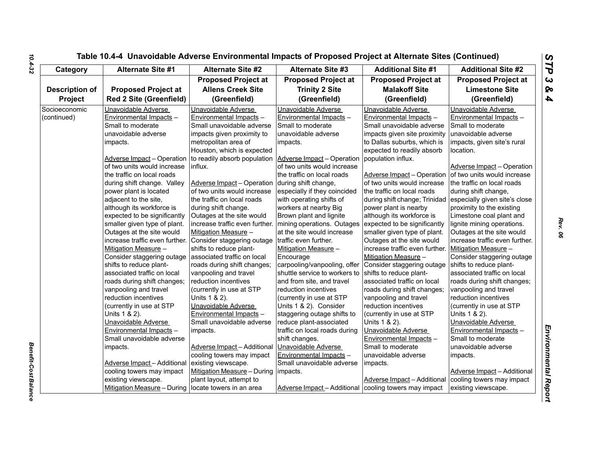| Category              |                                    | <b>Alternate Site #2</b><br><b>Alternate Site #1</b>      | <b>Alternate Site #3</b>      | <b>Additional Site #1</b>      | <b>Additional Site #2</b>          |
|-----------------------|------------------------------------|-----------------------------------------------------------|-------------------------------|--------------------------------|------------------------------------|
|                       |                                    | <b>Proposed Project at</b>                                | <b>Proposed Project at</b>    | <b>Proposed Project at</b>     | <b>Proposed Project at</b>         |
| <b>Description of</b> | <b>Proposed Project at</b>         | <b>Allens Creek Site</b>                                  | <b>Trinity 2 Site</b>         | <b>Malakoff Site</b>           | <b>Limestone Site</b>              |
| Project               | <b>Red 2 Site (Greenfield)</b>     | (Greenfield)                                              | (Greenfield)                  | (Greenfield)                   | (Greenfield)                       |
| Socioeconomic         | Unavoidable Adverse                | Unavoidable Adverse                                       | Unavoidable Adverse           | Unavoidable Adverse            | Unavoidable Adverse                |
| (continued)           | Environmental Impacts -            | Environmental Impacts -                                   | Environmental Impacts -       | Environmental Impacts -        | Environmental Impacts -            |
|                       | Small to moderate                  | Small unavoidable adverse                                 | Small to moderate             | Small unavoidable adverse      | Small to moderate                  |
|                       | unavoidable adverse                | impacts given proximity to                                | unavoidable adverse           | impacts given site proximity   | unavoidable adverse                |
|                       | impacts.                           | metropolitan area of                                      | impacts.                      | to Dallas suburbs, which is    | impacts, given site's rural        |
|                       |                                    | Houston, which is expected                                |                               | expected to readily absorb     | location.                          |
|                       | <b>Adverse Impact - Operation</b>  | to readily absorb population   Adverse Impact - Operation |                               | population influx.             |                                    |
|                       | of two units would increase        | influx.                                                   | of two units would increase   |                                | Adverse Impact - Operation         |
|                       | the traffic on local roads         |                                                           | the traffic on local roads    | Adverse Impact - Operation     | of two units would increase        |
|                       | during shift change. Valley        | Adverse Impact - Operation                                | during shift change,          | of two units would increase    | the traffic on local roads         |
|                       | power plant is located             | of two units would increase                               | especially if they coincided  | the traffic on local roads     | during shift change,               |
|                       | adjacent to the site,              | the traffic on local roads                                | with operating shifts of      | during shift change; Trinidad  | especially given site's close      |
|                       | although its workforce is          | during shift change.                                      | workers at nearby Big         | power plant is nearby          | proximity to the existing          |
|                       | expected to be significantly       | Outages at the site would                                 | Brown plant and lignite       | although its workforce is      | Limestone coal plant and           |
|                       | smaller given type of plant.       | increase traffic even further. mining operations. Outages |                               | expected to be significantly   | lignite mining operations.         |
|                       | Outages at the site would          | Mitigation Measure -                                      | at the site would increase    | smaller given type of plant.   | Outages at the site would          |
|                       | increase traffic even further.     | Consider staggering outage                                | traffic even further.         | Outages at the site would      | increase traffic even further.     |
|                       | Mitigation Measure -               | shifts to reduce plant-                                   | Mitigation Measure -          | increase traffic even further. | Mitigation Measure -               |
|                       | Consider staggering outage         | associated traffic on local                               | Encourage                     | Mitigation Measure -           | Consider staggering outage         |
|                       | shifts to reduce plant-            | roads during shift changes;                               | carpooling/vanpooling, offer  | Consider staggering outage     | shifts to reduce plant-            |
|                       | associated traffic on local        | vanpooling and travel                                     | shuttle service to workers to | shifts to reduce plant-        | associated traffic on local        |
|                       | roads during shift changes;        | reduction incentives                                      | and from site, and travel     | associated traffic on local    | roads during shift changes;        |
|                       | vanpooling and travel              | (currently in use at STP                                  | reduction incentives          | roads during shift changes;    | vanpooling and travel              |
|                       | reduction incentives               | Units 1 & 2).                                             | (currently in use at STP      | vanpooling and travel          | reduction incentives               |
|                       | (currently in use at STP           | Unavoidable Adverse                                       | Units 1 & 2). Consider        | reduction incentives           | (currently in use at STP           |
|                       | Units 1 & 2).                      | Environmental Impacts -                                   | staggering outage shifts to   | (currently in use at STP       | Units 1 & 2).                      |
|                       | Unavoidable Adverse                | Small unavoidable adverse                                 | reduce plant-associated       | Units 1 & 2).                  | Unavoidable Adverse                |
|                       | Environmental Impacts -            | impacts.                                                  | traffic on local roads during | Unavoidable Adverse            | Environmental Impacts -            |
|                       | Small unavoidable adverse          |                                                           | shift changes.                | Environmental Impacts -        | Small to moderate                  |
|                       | impacts.                           | Adverse Impact-Additional                                 | Unavoidable Adverse           | Small to moderate              | unavoidable adverse                |
|                       |                                    | cooling towers may impact                                 | Environmental Impacts -       | unavoidable adverse            | impacts.                           |
|                       | <b>Adverse Impact - Additional</b> | existing viewscape.                                       | Small unavoidable adverse     | impacts.                       |                                    |
|                       | cooling towers may impact          | Mitigation Measure - During   impacts.                    |                               |                                | <b>Adverse Impact - Additional</b> |
|                       | existing viewscape.                | plant layout, attempt to                                  |                               | Adverse Impact - Additional    | cooling towers may impact          |
|                       | Mitigation Measure - During        | locate towers in an area                                  | Adverse Impact - Additional   | cooling towers may impact      | existing viewscape.                |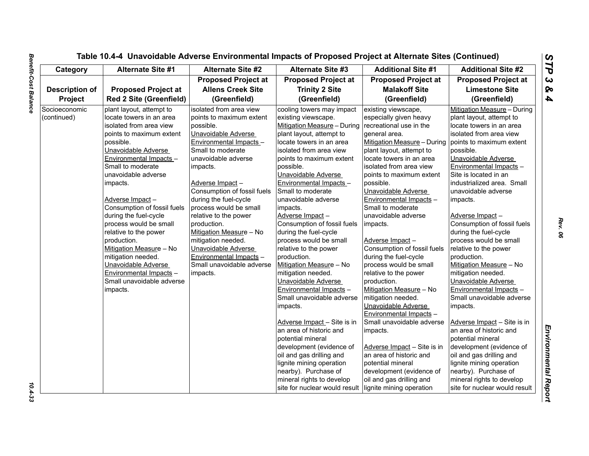| Category              | <b>Alternate Site #1</b>       | <b>Alternate Site #2</b>    | <b>Alternate Site #3</b>      | <b>Additional Site #1</b>   | <b>Additional Site #2</b>     |
|-----------------------|--------------------------------|-----------------------------|-------------------------------|-----------------------------|-------------------------------|
|                       |                                | <b>Proposed Project at</b>  | <b>Proposed Project at</b>    | <b>Proposed Project at</b>  | <b>Proposed Project at</b>    |
| <b>Description of</b> | <b>Proposed Project at</b>     | <b>Allens Creek Site</b>    | <b>Trinity 2 Site</b>         | <b>Malakoff Site</b>        | <b>Limestone Site</b>         |
| Project               | <b>Red 2 Site (Greenfield)</b> | (Greenfield)                | (Greenfield)                  | (Greenfield)                | (Greenfield)                  |
| Socioeconomic         | plant layout, attempt to       | isolated from area view     | cooling towers may impact     | existing viewscape,         | Mitigation Measure - During   |
| (continued)           | locate towers in an area       | points to maximum extent    | existing viewscape.           | especially given heavy      | plant layout, attempt to      |
|                       | isolated from area view        | possible.                   | Mitigation Measure - During   | recreational use in the     | locate towers in an area      |
|                       | points to maximum extent       | Unavoidable Adverse         | plant layout, attempt to      | general area.               | isolated from area view       |
|                       | possible.                      | Environmental Impacts -     | locate towers in an area      | Mitigation Measure - During | points to maximum extent      |
|                       | Unavoidable Adverse            | Small to moderate           | isolated from area view       | plant layout, attempt to    | possible.                     |
|                       | Environmental Impacts -        | unavoidable adverse         | points to maximum extent      | locate towers in an area    | Unavoidable Adverse           |
|                       | Small to moderate              | impacts.                    | possible.                     | isolated from area view     | Environmental Impacts -       |
|                       | unavoidable adverse            |                             | Unavoidable Adverse           | points to maximum extent    | Site is located in an         |
|                       | impacts.                       | Adverse Impact-             | Environmental Impacts -       | possible.                   | industrialized area. Small    |
|                       |                                | Consumption of fossil fuels | Small to moderate             | Unavoidable Adverse         | unavoidable adverse           |
|                       | Adverse Impact-                | during the fuel-cycle       | unavoidable adverse           | Environmental Impacts -     | impacts.                      |
|                       | Consumption of fossil fuels    | process would be small      | impacts.                      | Small to moderate           |                               |
|                       | during the fuel-cycle          | relative to the power       | Adverse Impact-               | unavoidable adverse         | Adverse Impact-               |
|                       | process would be small         | production.                 | Consumption of fossil fuels   | impacts.                    | Consumption of fossil fuels   |
|                       | relative to the power          | Mitigation Measure - No     | during the fuel-cycle         |                             | during the fuel-cycle         |
|                       | production.                    | mitigation needed.          | process would be small        | Adverse Impact-             | process would be small        |
|                       | Mitigation Measure - No        | Unavoidable Adverse         | relative to the power         | Consumption of fossil fuels | relative to the power         |
|                       | mitigation needed.             | Environmental Impacts -     | production.                   | during the fuel-cycle       | production.                   |
|                       | Unavoidable Adverse            | Small unavoidable adverse   | Mitigation Measure - No       | process would be small      | Mitigation Measure - No       |
|                       | Environmental Impacts -        | impacts.                    | mitigation needed.            | relative to the power       | mitigation needed.            |
|                       | Small unavoidable adverse      |                             | Unavoidable Adverse           | production.                 | Unavoidable Adverse           |
|                       | impacts.                       |                             | Environmental Impacts -       | Mitigation Measure - No     | Environmental Impacts -       |
|                       |                                |                             | Small unavoidable adverse     | mitigation needed.          | Small unavoidable adverse     |
|                       |                                |                             | impacts.                      | Unavoidable Adverse         | impacts.                      |
|                       |                                |                             |                               | Environmental Impacts -     |                               |
|                       |                                |                             | Adverse Impact - Site is in   | Small unavoidable adverse   | Adverse Impact - Site is in   |
|                       |                                |                             | an area of historic and       | impacts.                    | an area of historic and       |
|                       |                                |                             | potential mineral             |                             | potential mineral             |
|                       |                                |                             | development (evidence of      | Adverse Impact - Site is in | development (evidence of      |
|                       |                                |                             | oil and gas drilling and      | an area of historic and     | oil and gas drilling and      |
|                       |                                |                             | lignite mining operation      | potential mineral           | lignite mining operation      |
|                       |                                |                             | nearby). Purchase of          | development (evidence of    | nearby). Purchase of          |
|                       |                                |                             | mineral rights to develop     | oil and gas drilling and    | mineral rights to develop     |
|                       |                                |                             | site for nuclear would result | lignite mining operation    | site for nuclear would result |

 $10.4 - 33$ 

L,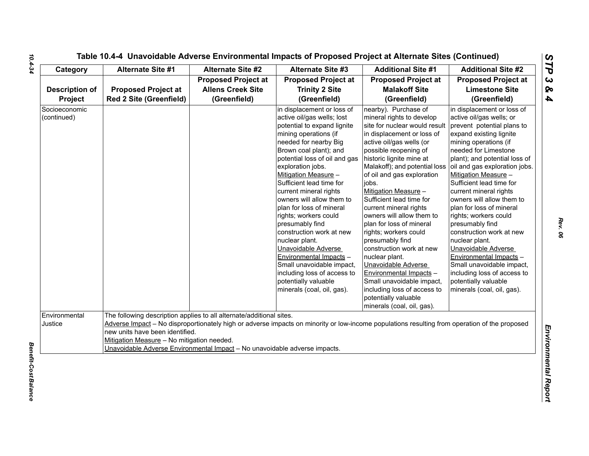| Category                         | <b>Alternate Site #1</b>                                                                                                                                                                                                            | <b>Alternate Site #2</b>                                               | <b>Alternate Site #3</b>                                                                                                                                                                                                                                                                                                                                                                                                                                                                                                                                                                                                       | <b>Additional Site #1</b>                                                                                                                                                                                                                                                                                                                                                                                                                                                                                                                                                                                                                                                      | <b>Additional Site #2</b>                                                                                                                                                                                                                                                                                                                                                                                                                                                                                                                                                                                                               |
|----------------------------------|-------------------------------------------------------------------------------------------------------------------------------------------------------------------------------------------------------------------------------------|------------------------------------------------------------------------|--------------------------------------------------------------------------------------------------------------------------------------------------------------------------------------------------------------------------------------------------------------------------------------------------------------------------------------------------------------------------------------------------------------------------------------------------------------------------------------------------------------------------------------------------------------------------------------------------------------------------------|--------------------------------------------------------------------------------------------------------------------------------------------------------------------------------------------------------------------------------------------------------------------------------------------------------------------------------------------------------------------------------------------------------------------------------------------------------------------------------------------------------------------------------------------------------------------------------------------------------------------------------------------------------------------------------|-----------------------------------------------------------------------------------------------------------------------------------------------------------------------------------------------------------------------------------------------------------------------------------------------------------------------------------------------------------------------------------------------------------------------------------------------------------------------------------------------------------------------------------------------------------------------------------------------------------------------------------------|
| <b>Description of</b><br>Project | <b>Proposed Project at</b><br><b>Red 2 Site (Greenfield)</b>                                                                                                                                                                        | <b>Proposed Project at</b><br><b>Allens Creek Site</b><br>(Greenfield) | <b>Proposed Project at</b><br><b>Trinity 2 Site</b><br>(Greenfield)                                                                                                                                                                                                                                                                                                                                                                                                                                                                                                                                                            | <b>Proposed Project at</b><br><b>Malakoff Site</b><br>(Greenfield)                                                                                                                                                                                                                                                                                                                                                                                                                                                                                                                                                                                                             | <b>Proposed Project at</b><br><b>Limestone Site</b><br>(Greenfield)                                                                                                                                                                                                                                                                                                                                                                                                                                                                                                                                                                     |
| Socioeconomic<br>(continued)     |                                                                                                                                                                                                                                     |                                                                        | in displacement or loss of<br>active oil/gas wells; lost<br>potential to expand lignite<br>mining operations (if<br>needed for nearby Big<br>Brown coal plant); and<br>potential loss of oil and gas<br>exploration jobs.<br>Mitigation Measure -<br>Sufficient lead time for<br>current mineral rights<br>owners will allow them to<br>plan for loss of mineral<br>rights; workers could<br>presumably find<br>construction work at new<br>nuclear plant.<br>Unavoidable Adverse<br>Environmental Impacts -<br>Small unavoidable impact,<br>including loss of access to<br>potentially valuable<br>minerals (coal, oil, gas). | nearby). Purchase of<br>mineral rights to develop<br>site for nuclear would result<br>in displacement or loss of<br>active oil/gas wells (or<br>possible reopening of<br>historic lignite mine at<br>Malakoff); and potential loss<br>of oil and gas exploration<br>jobs.<br>Mitigation Measure -<br>Sufficient lead time for<br>current mineral rights<br>owners will allow them to<br>plan for loss of mineral<br>rights; workers could<br>presumably find<br>construction work at new<br>nuclear plant.<br>Unavoidable Adverse<br>Environmental Impacts -<br>Small unavoidable impact,<br>including loss of access to<br>potentially valuable<br>minerals (coal, oil, gas). | in displacement or loss of<br>active oil/gas wells; or<br>prevent potential plans to<br>expand existing lignite<br>mining operations (if<br>needed for Limestone<br>plant); and potential loss of<br>oil and gas exploration jobs.<br>Mitigation Measure -<br>Sufficient lead time for<br>current mineral rights<br>owners will allow them to<br>plan for loss of mineral<br>rights; workers could<br>presumably find<br>construction work at new<br>nuclear plant.<br>Unavoidable Adverse<br>Environmental Impacts -<br>Small unavoidable impact,<br>including loss of access to<br>potentially valuable<br>minerals (coal, oil, gas). |
| Environmental<br>Justice         | The following description applies to all alternate/additional sites.<br>new units have been identified.<br>Mitigation Measure - No mitigation needed.<br>Unavoidable Adverse Environmental Impact - No unavoidable adverse impacts. |                                                                        | Adverse Impact - No disproportionately high or adverse impacts on minority or low-income populations resulting from operation of the proposed                                                                                                                                                                                                                                                                                                                                                                                                                                                                                  |                                                                                                                                                                                                                                                                                                                                                                                                                                                                                                                                                                                                                                                                                |                                                                                                                                                                                                                                                                                                                                                                                                                                                                                                                                                                                                                                         |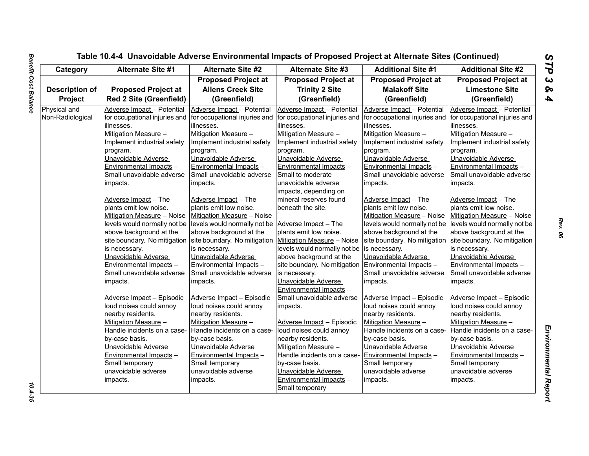| Category              | <b>Alternate Site #1</b>       | <b>Alternate Site #2</b>                                  | <b>Alternate Site #3</b>      | <b>Additional Site #1</b>     | <b>Additional Site #2</b>     |
|-----------------------|--------------------------------|-----------------------------------------------------------|-------------------------------|-------------------------------|-------------------------------|
|                       |                                | <b>Proposed Project at</b>                                | <b>Proposed Project at</b>    | <b>Proposed Project at</b>    | <b>Proposed Project at</b>    |
| <b>Description of</b> | <b>Proposed Project at</b>     | <b>Allens Creek Site</b>                                  | <b>Trinity 2 Site</b>         | <b>Malakoff Site</b>          | <b>Limestone Site</b>         |
| Project               | <b>Red 2 Site (Greenfield)</b> | (Greenfield)                                              | (Greenfield)                  | (Greenfield)                  | (Greenfield)                  |
| Physical and          | Adverse Impact - Potential     | Adverse Impact - Potential                                | Adverse Impact - Potential    | Adverse Impact - Potential    | Adverse Impact - Potential    |
| Non-Radiological      | for occupational injuries and  | for occupational injuries and                             | for occupational injuries and | for occupational injuries and | for occupational injuries and |
|                       | lillnesses.                    | lillnesses.                                               | illnesses.                    | illnesses.                    | illnesses.                    |
|                       | Mitigation Measure -           | Mitigation Measure -                                      | Mitigation Measure -          | Mitigation Measure -          | Mitigation Measure -          |
|                       | Implement industrial safety    | Implement industrial safety                               | Implement industrial safety   | Implement industrial safety   | Implement industrial safety   |
|                       | program.                       | program.                                                  | program.                      | program.                      | program.                      |
|                       | Unavoidable Adverse            | Unavoidable Adverse                                       | Unavoidable Adverse           | Unavoidable Adverse           | Unavoidable Adverse           |
|                       | Environmental Impacts -        | Environmental Impacts -                                   | Environmental Impacts -       | Environmental Impacts -       | Environmental Impacts -       |
|                       | Small unavoidable adverse      | Small unavoidable adverse                                 | Small to moderate             | Small unavoidable adverse     | Small unavoidable adverse     |
|                       | impacts.                       | impacts.                                                  | unavoidable adverse           | impacts.                      | impacts.                      |
|                       |                                |                                                           | impacts, depending on         |                               |                               |
|                       | Adverse Impact - The           | Adverse Impact - The                                      | mineral reserves found        | Adverse Impact - The          | Adverse Impact - The          |
|                       | plants emit low noise.         | plants emit low noise.                                    | beneath the site.             | plants emit low noise.        | plants emit low noise.        |
|                       | Mitigation Measure - Noise     | Mitigation Measure - Noise                                |                               | Mitigation Measure - Noise    | Mitigation Measure - Noise    |
|                       | levels would normally not be   | levels would normally not be Adverse Impact - The         |                               | levels would normally not be  | levels would normally not be  |
|                       | above background at the        | above background at the                                   | plants emit low noise.        | above background at the       | above background at the       |
|                       | site boundary. No mitigation   | site boundary. No mitigation   Mitigation Measure - Noise |                               | site boundary. No mitigation  | site boundary. No mitigation  |
|                       | is necessary.                  | is necessary.                                             | levels would normally not be  | is necessary.                 | is necessary.                 |
|                       | Unavoidable Adverse            | Unavoidable Adverse                                       | above background at the       | Unavoidable Adverse           | Unavoidable Adverse           |
|                       | Environmental Impacts -        | Environmental Impacts -                                   | site boundary. No mitigation  | Environmental Impacts -       | Environmental Impacts -       |
|                       | Small unavoidable adverse      | Small unavoidable adverse                                 | is necessary.                 | Small unavoidable adverse     | Small unavoidable adverse     |
|                       | impacts.                       | impacts.                                                  | Unavoidable Adverse           | impacts.                      | impacts.                      |
|                       |                                |                                                           | Environmental Impacts -       |                               |                               |
|                       | Adverse Impact - Episodic      | Adverse Impact - Episodic                                 | Small unavoidable adverse     | Adverse Impact - Episodic     | Adverse Impact - Episodic     |
|                       | loud noises could annoy        | loud noises could annoy                                   | impacts.                      | loud noises could annoy       | loud noises could annoy       |
|                       | nearby residents.              | nearby residents.                                         |                               | nearby residents.             | nearby residents.             |
|                       | Mitigation Measure -           | Mitigation Measure -                                      | Adverse Impact - Episodic     | Mitigation Measure -          | Mitigation Measure -          |
|                       | Handle incidents on a case-    | Handle incidents on a case-                               | loud noises could annoy       | Handle incidents on a case-   | Handle incidents on a case-   |
|                       | by-case basis.                 | by-case basis.                                            | nearby residents.             | by-case basis.                | by-case basis.                |
|                       | Unavoidable Adverse            | Unavoidable Adverse                                       | Mitigation Measure -          | Unavoidable Adverse           | Unavoidable Adverse           |
|                       | Environmental Impacts -        | Environmental Impacts -                                   | Handle incidents on a case-   | Environmental Impacts -       | Environmental Impacts -       |
|                       | Small temporary                | Small temporary                                           | by-case basis.                | Small temporary               | Small temporary               |
|                       | unavoidable adverse            | unavoidable adverse                                       | Unavoidable Adverse           | unavoidable adverse           | unavoidable adverse           |
|                       | impacts.                       | impacts.                                                  | Environmental Impacts -       | impacts.                      | impacts.                      |
|                       |                                |                                                           | Small temporary               |                               |                               |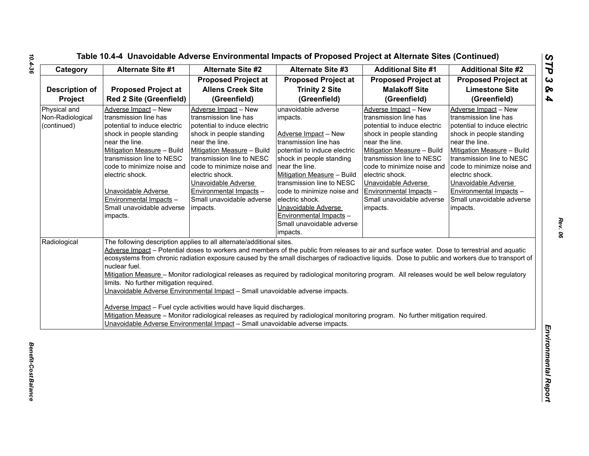| Category                                        | Alternate Site #1                                                                                                                                                                                                                                                                                                                  | <b>Alternate Site #2</b>                                                                                                                                                                                                                                                                                                           | <b>Alternate Site #3</b>                                                                                                                                                                                                                                                                                                                                              | <b>Additional Site #1</b>                                                                                                                                                                                                                                                                                                                                                                                                                                                                                                                                                                 | <b>Additional Site #2</b>                                                                                                                                                                                                                                                                                                          |
|-------------------------------------------------|------------------------------------------------------------------------------------------------------------------------------------------------------------------------------------------------------------------------------------------------------------------------------------------------------------------------------------|------------------------------------------------------------------------------------------------------------------------------------------------------------------------------------------------------------------------------------------------------------------------------------------------------------------------------------|-----------------------------------------------------------------------------------------------------------------------------------------------------------------------------------------------------------------------------------------------------------------------------------------------------------------------------------------------------------------------|-------------------------------------------------------------------------------------------------------------------------------------------------------------------------------------------------------------------------------------------------------------------------------------------------------------------------------------------------------------------------------------------------------------------------------------------------------------------------------------------------------------------------------------------------------------------------------------------|------------------------------------------------------------------------------------------------------------------------------------------------------------------------------------------------------------------------------------------------------------------------------------------------------------------------------------|
|                                                 |                                                                                                                                                                                                                                                                                                                                    | <b>Proposed Project at</b>                                                                                                                                                                                                                                                                                                         | <b>Proposed Project at</b>                                                                                                                                                                                                                                                                                                                                            | <b>Proposed Project at</b>                                                                                                                                                                                                                                                                                                                                                                                                                                                                                                                                                                | <b>Proposed Project at</b>                                                                                                                                                                                                                                                                                                         |
| <b>Description of</b>                           | <b>Proposed Project at</b>                                                                                                                                                                                                                                                                                                         | <b>Allens Creek Site</b>                                                                                                                                                                                                                                                                                                           | <b>Trinity 2 Site</b>                                                                                                                                                                                                                                                                                                                                                 | <b>Malakoff Site</b>                                                                                                                                                                                                                                                                                                                                                                                                                                                                                                                                                                      | <b>Limestone Site</b>                                                                                                                                                                                                                                                                                                              |
| Project                                         | Red 2 Site (Greenfield)                                                                                                                                                                                                                                                                                                            | (Greenfield)                                                                                                                                                                                                                                                                                                                       | (Greenfield)                                                                                                                                                                                                                                                                                                                                                          | (Greenfield)                                                                                                                                                                                                                                                                                                                                                                                                                                                                                                                                                                              | (Greenfield)                                                                                                                                                                                                                                                                                                                       |
| Physical and<br>Non-Radiological<br>(continued) | Adverse Impact - New<br>transmission line has<br>potential to induce electric<br>shock in people standing<br>near the line.<br>Mitigation Measure - Build<br>transmission line to NESC<br>code to minimize noise and<br>electric shock.<br>Unavoidable Adverse<br>Environmental Impacts -<br>Small unavoidable adverse<br>impacts. | Adverse Impact - New<br>transmission line has<br>potential to induce electric<br>shock in people standing<br>near the line.<br>Mitigation Measure - Build<br>transmission line to NESC<br>code to minimize noise and<br>electric shock.<br>Unavoidable Adverse<br>Environmental Impacts -<br>Small unavoidable adverse<br>impacts. | unavoidable adverse<br>impacts.<br>Adverse Impact - New<br>transmission line has<br>potential to induce electric<br>shock in people standing<br>near the line.<br>Mitigation Measure - Build<br>transmission line to NESC<br>code to minimize noise and<br>electric shock.<br>Unavoidable Adverse<br>Environmental Impacts -<br>Small unavoidable adverse<br>impacts. | Adverse Impact - New<br>transmission line has<br>potential to induce electric<br>shock in people standing<br>near the line.<br>Mitigation Measure - Build<br>transmission line to NESC<br>code to minimize noise and<br>electric shock.<br>Unavoidable Adverse<br>Environmental Impacts -<br>Small unavoidable adverse<br>impacts.                                                                                                                                                                                                                                                        | Adverse Impact - New<br>transmission line has<br>potential to induce electric<br>shock in people standing<br>near the line.<br>Mitigation Measure - Build<br>transmission line to NESC<br>code to minimize noise and<br>electric shock.<br>Unavoidable Adverse<br>Environmental Impacts -<br>Small unavoidable adverse<br>impacts. |
| Radiological                                    | nuclear fuel.<br>limits. No further mitigation required.                                                                                                                                                                                                                                                                           | The following description applies to all alternate/additional sites.<br>Unavoidable Adverse Environmental Impact - Small unavoidable adverse impacts.<br>Adverse Impact - Fuel cycle activities would have liquid discharges.<br>Unavoidable Adverse Environmental Impact - Small unavoidable adverse impacts.                     |                                                                                                                                                                                                                                                                                                                                                                       | Adverse Impact - Potential doses to workers and members of the public from releases to air and surface water. Dose to terrestrial and aquatic<br>ecosystems from chronic radiation exposure caused by the small discharges of radioactive liquids. Dose to public and workers due to transport of<br>Mitigation Measure - Monitor radiological releases as required by radiological monitoring program. All releases would be well below regulatory<br>Mitigation Measure - Monitor radiological releases as required by radiological monitoring program. No further mitigation required. |                                                                                                                                                                                                                                                                                                                                    |